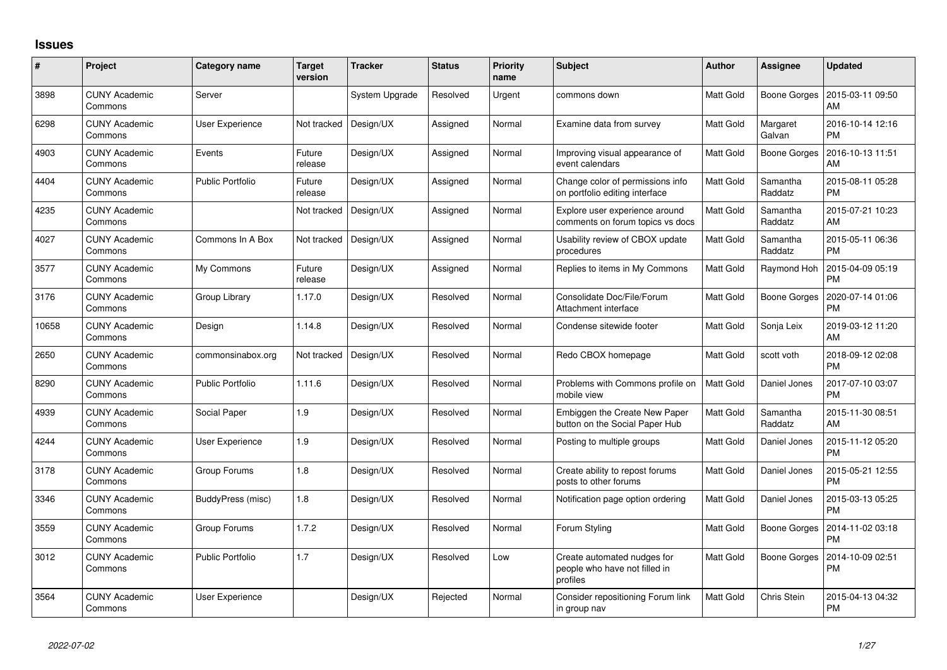## **Issues**

| #     | Project                         | Category name           | <b>Target</b><br>version | <b>Tracker</b> | <b>Status</b> | <b>Priority</b><br>name | <b>Subject</b>                                                           | <b>Author</b>    | <b>Assignee</b>     | <b>Updated</b>                |
|-------|---------------------------------|-------------------------|--------------------------|----------------|---------------|-------------------------|--------------------------------------------------------------------------|------------------|---------------------|-------------------------------|
| 3898  | <b>CUNY Academic</b><br>Commons | Server                  |                          | System Upgrade | Resolved      | Urgent                  | commons down                                                             | Matt Gold        | Boone Gorges        | 2015-03-11 09:50<br>AM        |
| 6298  | CUNY Academic<br>Commons        | User Experience         | Not tracked              | Design/UX      | Assigned      | Normal                  | Examine data from survey                                                 | Matt Gold        | Margaret<br>Galvan  | 2016-10-14 12:16<br><b>PM</b> |
| 4903  | <b>CUNY Academic</b><br>Commons | Events                  | Future<br>release        | Design/UX      | Assigned      | Normal                  | Improving visual appearance of<br>event calendars                        | Matt Gold        | <b>Boone Gorges</b> | 2016-10-13 11:51<br><b>AM</b> |
| 4404  | <b>CUNY Academic</b><br>Commons | <b>Public Portfolio</b> | Future<br>release        | Design/UX      | Assigned      | Normal                  | Change color of permissions info<br>on portfolio editing interface       | Matt Gold        | Samantha<br>Raddatz | 2015-08-11 05:28<br><b>PM</b> |
| 4235  | <b>CUNY Academic</b><br>Commons |                         | Not tracked              | Design/UX      | Assigned      | Normal                  | Explore user experience around<br>comments on forum topics vs docs       | Matt Gold        | Samantha<br>Raddatz | 2015-07-21 10:23<br>AM        |
| 4027  | <b>CUNY Academic</b><br>Commons | Commons In A Box        | Not tracked              | Design/UX      | Assigned      | Normal                  | Usability review of CBOX update<br>procedures                            | Matt Gold        | Samantha<br>Raddatz | 2015-05-11 06:36<br><b>PM</b> |
| 3577  | <b>CUNY Academic</b><br>Commons | My Commons              | Future<br>release        | Design/UX      | Assigned      | Normal                  | Replies to items in My Commons                                           | <b>Matt Gold</b> | Raymond Hoh         | 2015-04-09 05:19<br><b>PM</b> |
| 3176  | CUNY Academic<br>Commons        | Group Library           | 1.17.0                   | Design/UX      | Resolved      | Normal                  | Consolidate Doc/File/Forum<br>Attachment interface                       | Matt Gold        | Boone Gorges        | 2020-07-14 01:06<br><b>PM</b> |
| 10658 | <b>CUNY Academic</b><br>Commons | Design                  | 1.14.8                   | Design/UX      | Resolved      | Normal                  | Condense sitewide footer                                                 | Matt Gold        | Sonja Leix          | 2019-03-12 11:20<br>AM        |
| 2650  | <b>CUNY Academic</b><br>Commons | commonsinabox.org       | Not tracked              | Design/UX      | Resolved      | Normal                  | Redo CBOX homepage                                                       | Matt Gold        | scott voth          | 2018-09-12 02:08<br><b>PM</b> |
| 8290  | <b>CUNY Academic</b><br>Commons | <b>Public Portfolio</b> | 1.11.6                   | Design/UX      | Resolved      | Normal                  | Problems with Commons profile on<br>mobile view                          | <b>Matt Gold</b> | Daniel Jones        | 2017-07-10 03:07<br><b>PM</b> |
| 4939  | <b>CUNY Academic</b><br>Commons | Social Paper            | 1.9                      | Design/UX      | Resolved      | Normal                  | Embiggen the Create New Paper<br>button on the Social Paper Hub          | <b>Matt Gold</b> | Samantha<br>Raddatz | 2015-11-30 08:51<br>AM        |
| 4244  | <b>CUNY Academic</b><br>Commons | User Experience         | 1.9                      | Design/UX      | Resolved      | Normal                  | Posting to multiple groups                                               | Matt Gold        | Daniel Jones        | 2015-11-12 05:20<br><b>PM</b> |
| 3178  | <b>CUNY Academic</b><br>Commons | Group Forums            | 1.8                      | Design/UX      | Resolved      | Normal                  | Create ability to repost forums<br>posts to other forums                 | Matt Gold        | Daniel Jones        | 2015-05-21 12:55<br><b>PM</b> |
| 3346  | <b>CUNY Academic</b><br>Commons | BuddyPress (misc)       | 1.8                      | Design/UX      | Resolved      | Normal                  | Notification page option ordering                                        | Matt Gold        | Daniel Jones        | 2015-03-13 05:25<br><b>PM</b> |
| 3559  | <b>CUNY Academic</b><br>Commons | Group Forums            | 1.7.2                    | Design/UX      | Resolved      | Normal                  | Forum Styling                                                            | Matt Gold        | Boone Gorges        | 2014-11-02 03:18<br><b>PM</b> |
| 3012  | <b>CUNY Academic</b><br>Commons | <b>Public Portfolio</b> | 1.7                      | Design/UX      | Resolved      | Low                     | Create automated nudges for<br>people who have not filled in<br>profiles | Matt Gold        | Boone Gorges        | 2014-10-09 02:51<br><b>PM</b> |
| 3564  | CUNY Academic<br>Commons        | User Experience         |                          | Design/UX      | Rejected      | Normal                  | Consider repositioning Forum link<br>in group nav                        | <b>Matt Gold</b> | Chris Stein         | 2015-04-13 04:32<br><b>PM</b> |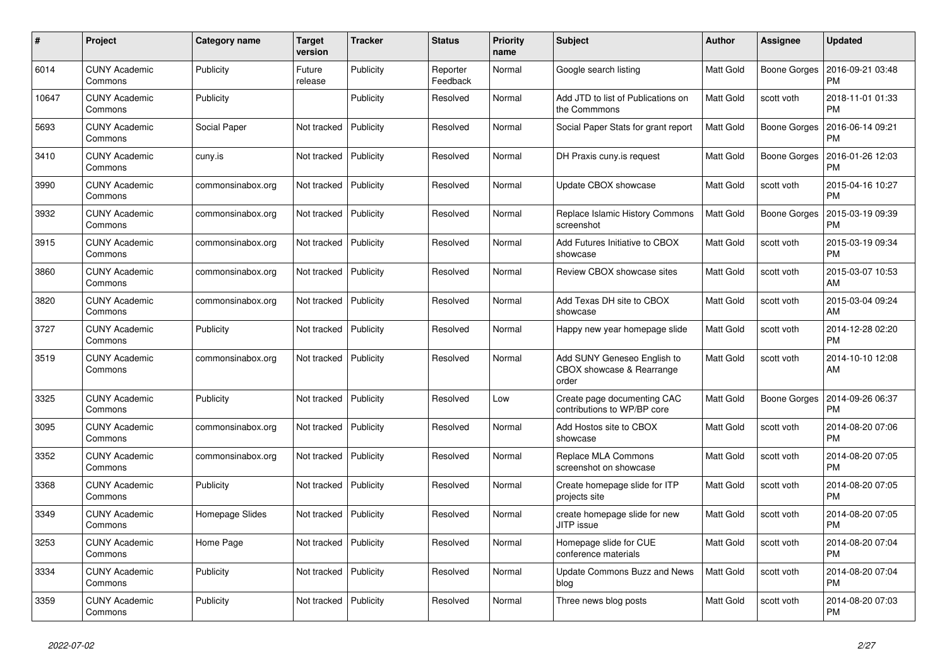| #     | Project                         | Category name     | <b>Target</b><br>version | <b>Tracker</b> | <b>Status</b>        | <b>Priority</b><br>name | <b>Subject</b>                                                    | <b>Author</b>    | Assignee            | <b>Updated</b>                |
|-------|---------------------------------|-------------------|--------------------------|----------------|----------------------|-------------------------|-------------------------------------------------------------------|------------------|---------------------|-------------------------------|
| 6014  | <b>CUNY Academic</b><br>Commons | Publicity         | Future<br>release        | Publicity      | Reporter<br>Feedback | Normal                  | Google search listing                                             | <b>Matt Gold</b> | Boone Gorges        | 2016-09-21 03:48<br><b>PM</b> |
| 10647 | <b>CUNY Academic</b><br>Commons | Publicity         |                          | Publicity      | Resolved             | Normal                  | Add JTD to list of Publications on<br>the Commmons                | Matt Gold        | scott voth          | 2018-11-01 01:33<br><b>PM</b> |
| 5693  | <b>CUNY Academic</b><br>Commons | Social Paper      | Not tracked              | Publicity      | Resolved             | Normal                  | Social Paper Stats for grant report                               | Matt Gold        | Boone Gorges        | 2016-06-14 09:21<br><b>PM</b> |
| 3410  | <b>CUNY Academic</b><br>Commons | cuny.is           | Not tracked              | Publicity      | Resolved             | Normal                  | DH Praxis cuny.is request                                         | Matt Gold        | Boone Gorges        | 2016-01-26 12:03<br><b>PM</b> |
| 3990  | <b>CUNY Academic</b><br>Commons | commonsinabox.org | Not tracked              | Publicity      | Resolved             | Normal                  | Update CBOX showcase                                              | Matt Gold        | scott voth          | 2015-04-16 10:27<br><b>PM</b> |
| 3932  | <b>CUNY Academic</b><br>Commons | commonsinabox.org | Not tracked              | Publicity      | Resolved             | Normal                  | Replace Islamic History Commons<br>screenshot                     | Matt Gold        | <b>Boone Gorges</b> | 2015-03-19 09:39<br><b>PM</b> |
| 3915  | <b>CUNY Academic</b><br>Commons | commonsinabox.org | Not tracked              | Publicity      | Resolved             | Normal                  | Add Futures Initiative to CBOX<br>showcase                        | <b>Matt Gold</b> | scott voth          | 2015-03-19 09:34<br><b>PM</b> |
| 3860  | CUNY Academic<br>Commons        | commonsinabox.org | Not tracked              | Publicity      | Resolved             | Normal                  | Review CBOX showcase sites                                        | Matt Gold        | scott voth          | 2015-03-07 10:53<br>AM        |
| 3820  | <b>CUNY Academic</b><br>Commons | commonsinabox.org | Not tracked              | Publicity      | Resolved             | Normal                  | Add Texas DH site to CBOX<br>showcase                             | Matt Gold        | scott voth          | 2015-03-04 09:24<br>AM        |
| 3727  | <b>CUNY Academic</b><br>Commons | Publicity         | Not tracked              | Publicity      | Resolved             | Normal                  | Happy new year homepage slide                                     | Matt Gold        | scott voth          | 2014-12-28 02:20<br><b>PM</b> |
| 3519  | <b>CUNY Academic</b><br>Commons | commonsinabox.org | Not tracked              | Publicity      | Resolved             | Normal                  | Add SUNY Geneseo English to<br>CBOX showcase & Rearrange<br>order | Matt Gold        | scott voth          | 2014-10-10 12:08<br>AM        |
| 3325  | <b>CUNY Academic</b><br>Commons | Publicity         | Not tracked              | Publicity      | Resolved             | Low                     | Create page documenting CAC<br>contributions to WP/BP core        | Matt Gold        | <b>Boone Gorges</b> | 2014-09-26 06:37<br><b>PM</b> |
| 3095  | <b>CUNY Academic</b><br>Commons | commonsinabox.org | Not tracked              | Publicity      | Resolved             | Normal                  | Add Hostos site to CBOX<br>showcase                               | Matt Gold        | scott voth          | 2014-08-20 07:06<br><b>PM</b> |
| 3352  | CUNY Academic<br>Commons        | commonsinabox.org | Not tracked              | Publicity      | Resolved             | Normal                  | Replace MLA Commons<br>screenshot on showcase                     | Matt Gold        | scott voth          | 2014-08-20 07:05<br><b>PM</b> |
| 3368  | <b>CUNY Academic</b><br>Commons | Publicity         | Not tracked              | Publicity      | Resolved             | Normal                  | Create homepage slide for ITP<br>projects site                    | Matt Gold        | scott voth          | 2014-08-20 07:05<br><b>PM</b> |
| 3349  | <b>CUNY Academic</b><br>Commons | Homepage Slides   | Not tracked              | Publicity      | Resolved             | Normal                  | create homepage slide for new<br>JITP issue                       | Matt Gold        | scott voth          | 2014-08-20 07:05<br><b>PM</b> |
| 3253  | <b>CUNY Academic</b><br>Commons | Home Page         | Not tracked              | Publicity      | Resolved             | Normal                  | Homepage slide for CUE<br>conference materials                    | Matt Gold        | scott voth          | 2014-08-20 07:04<br><b>PM</b> |
| 3334  | <b>CUNY Academic</b><br>Commons | Publicity         | Not tracked              | Publicity      | Resolved             | Normal                  | Update Commons Buzz and News<br>blog                              | Matt Gold        | scott voth          | 2014-08-20 07:04<br><b>PM</b> |
| 3359  | <b>CUNY Academic</b><br>Commons | Publicity         | Not tracked              | Publicity      | Resolved             | Normal                  | Three news blog posts                                             | Matt Gold        | scott voth          | 2014-08-20 07:03<br><b>PM</b> |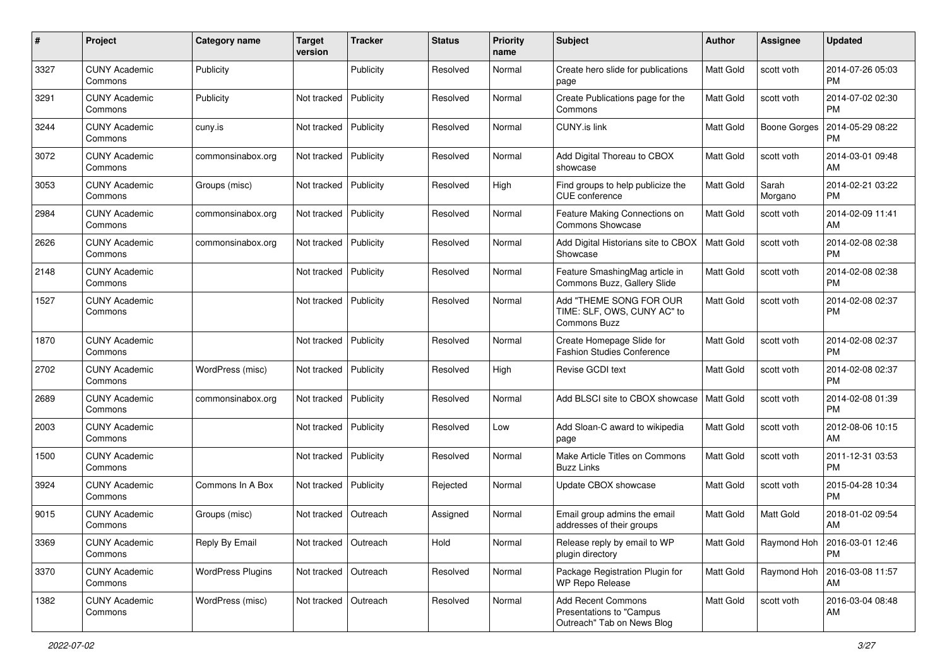| #    | Project                         | Category name            | <b>Target</b><br>version | <b>Tracker</b> | <b>Status</b> | <b>Priority</b><br>name | <b>Subject</b>                                                                      | Author           | <b>Assignee</b>     | <b>Updated</b>                         |
|------|---------------------------------|--------------------------|--------------------------|----------------|---------------|-------------------------|-------------------------------------------------------------------------------------|------------------|---------------------|----------------------------------------|
| 3327 | <b>CUNY Academic</b><br>Commons | Publicity                |                          | Publicity      | Resolved      | Normal                  | Create hero slide for publications<br>page                                          | <b>Matt Gold</b> | scott voth          | 2014-07-26 05:03<br><b>PM</b>          |
| 3291 | <b>CUNY Academic</b><br>Commons | Publicity                | Not tracked              | Publicity      | Resolved      | Normal                  | Create Publications page for the<br>Commons                                         | <b>Matt Gold</b> | scott voth          | 2014-07-02 02:30<br><b>PM</b>          |
| 3244 | <b>CUNY Academic</b><br>Commons | cuny.is                  | Not tracked              | Publicity      | Resolved      | Normal                  | <b>CUNY.is link</b>                                                                 | Matt Gold        | <b>Boone Gorges</b> | 2014-05-29 08:22<br><b>PM</b>          |
| 3072 | <b>CUNY Academic</b><br>Commons | commonsinabox.org        | Not tracked              | Publicity      | Resolved      | Normal                  | Add Digital Thoreau to CBOX<br>showcase                                             | <b>Matt Gold</b> | scott voth          | 2014-03-01 09:48<br>AM                 |
| 3053 | <b>CUNY Academic</b><br>Commons | Groups (misc)            | Not tracked              | Publicity      | Resolved      | High                    | Find groups to help publicize the<br>CUE conference                                 | Matt Gold        | Sarah<br>Morgano    | 2014-02-21 03:22<br>PM                 |
| 2984 | <b>CUNY Academic</b><br>Commons | commonsinabox.org        | Not tracked              | Publicity      | Resolved      | Normal                  | Feature Making Connections on<br><b>Commons Showcase</b>                            | <b>Matt Gold</b> | scott voth          | 2014-02-09 11:41<br>AM                 |
| 2626 | <b>CUNY Academic</b><br>Commons | commonsinabox.org        | Not tracked              | Publicity      | Resolved      | Normal                  | Add Digital Historians site to CBOX<br>Showcase                                     | Matt Gold        | scott voth          | 2014-02-08 02:38<br><b>PM</b>          |
| 2148 | <b>CUNY Academic</b><br>Commons |                          | Not tracked              | Publicity      | Resolved      | Normal                  | Feature SmashingMag article in<br>Commons Buzz, Gallery Slide                       | <b>Matt Gold</b> | scott voth          | 2014-02-08 02:38<br><b>PM</b>          |
| 1527 | <b>CUNY Academic</b><br>Commons |                          | Not tracked              | Publicity      | Resolved      | Normal                  | Add "THEME SONG FOR OUR<br>TIME: SLF, OWS, CUNY AC" to<br>Commons Buzz              | <b>Matt Gold</b> | scott voth          | 2014-02-08 02:37<br><b>PM</b>          |
| 1870 | <b>CUNY Academic</b><br>Commons |                          | Not tracked              | Publicity      | Resolved      | Normal                  | Create Homepage Slide for<br><b>Fashion Studies Conference</b>                      | <b>Matt Gold</b> | scott voth          | 2014-02-08 02:37<br><b>PM</b>          |
| 2702 | <b>CUNY Academic</b><br>Commons | WordPress (misc)         | Not tracked              | Publicity      | Resolved      | High                    | Revise GCDI text                                                                    | Matt Gold        | scott voth          | 2014-02-08 02:37<br><b>PM</b>          |
| 2689 | <b>CUNY Academic</b><br>Commons | commonsinabox.org        | Not tracked              | Publicity      | Resolved      | Normal                  | Add BLSCI site to CBOX showcase                                                     | Matt Gold        | scott voth          | 2014-02-08 01:39<br><b>PM</b>          |
| 2003 | <b>CUNY Academic</b><br>Commons |                          | Not tracked              | Publicity      | Resolved      | Low                     | Add Sloan-C award to wikipedia<br>page                                              | <b>Matt Gold</b> | scott voth          | 2012-08-06 10:15<br>AM                 |
| 1500 | <b>CUNY Academic</b><br>Commons |                          | Not tracked              | Publicity      | Resolved      | Normal                  | Make Article Titles on Commons<br><b>Buzz Links</b>                                 | <b>Matt Gold</b> | scott voth          | 2011-12-31 03:53<br><b>PM</b>          |
| 3924 | <b>CUNY Academic</b><br>Commons | Commons In A Box         | Not tracked              | Publicity      | Rejected      | Normal                  | Update CBOX showcase                                                                | <b>Matt Gold</b> | scott voth          | 2015-04-28 10:34<br><b>PM</b>          |
| 9015 | <b>CUNY Academic</b><br>Commons | Groups (misc)            | Not tracked              | Outreach       | Assigned      | Normal                  | Email group admins the email<br>addresses of their groups                           | <b>Matt Gold</b> | Matt Gold           | 2018-01-02 09:54<br>AM                 |
| 3369 | <b>CUNY Academic</b><br>Commons | Reply By Email           | Not tracked   Outreach   |                | Hold          | Normal                  | Release reply by email to WP<br>plugin directory                                    | Matt Gold        |                     | Raymond Hoh   2016-03-01 12:46<br>  PM |
| 3370 | <b>CUNY Academic</b><br>Commons | <b>WordPress Plugins</b> | Not tracked   Outreach   |                | Resolved      | Normal                  | Package Registration Plugin for<br><b>WP Repo Release</b>                           | Matt Gold        | Raymond Hoh         | 2016-03-08 11:57<br><b>AM</b>          |
| 1382 | <b>CUNY Academic</b><br>Commons | WordPress (misc)         | Not tracked              | Outreach       | Resolved      | Normal                  | <b>Add Recent Commons</b><br>Presentations to "Campus<br>Outreach" Tab on News Blog | Matt Gold        | scott voth          | 2016-03-04 08:48<br>AM                 |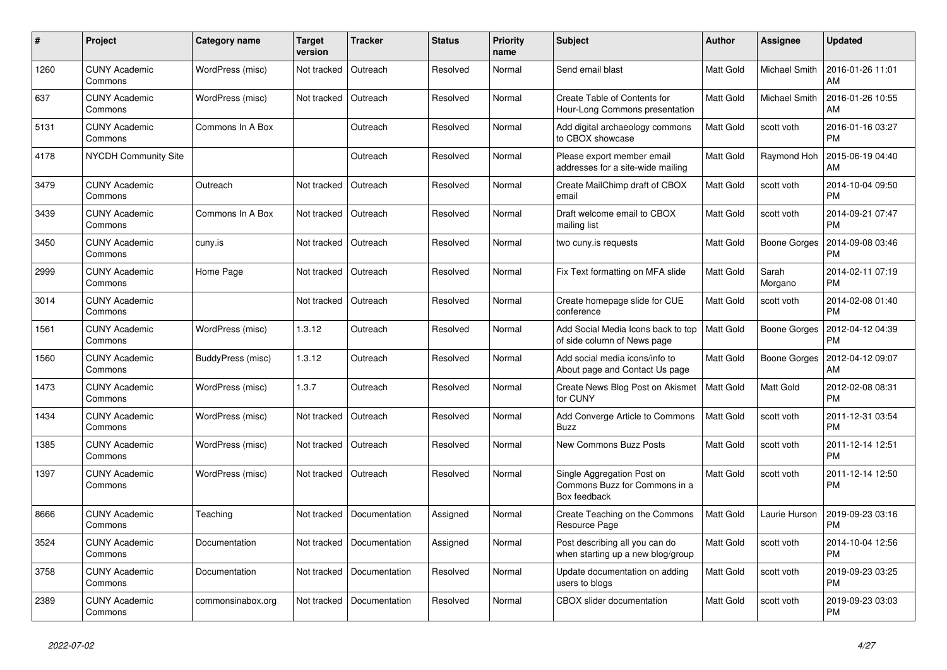| #    | Project                         | Category name     | Target<br>version | <b>Tracker</b> | <b>Status</b> | <b>Priority</b><br>name | <b>Subject</b>                                                              | <b>Author</b>    | Assignee         | <b>Updated</b>                |
|------|---------------------------------|-------------------|-------------------|----------------|---------------|-------------------------|-----------------------------------------------------------------------------|------------------|------------------|-------------------------------|
| 1260 | <b>CUNY Academic</b><br>Commons | WordPress (misc)  | Not tracked       | Outreach       | Resolved      | Normal                  | Send email blast                                                            | <b>Matt Gold</b> | Michael Smith    | 2016-01-26 11:01<br>AM        |
| 637  | <b>CUNY Academic</b><br>Commons | WordPress (misc)  | Not tracked       | Outreach       | Resolved      | Normal                  | Create Table of Contents for<br>Hour-Long Commons presentation              | Matt Gold        | Michael Smith    | 2016-01-26 10:55<br>AM        |
| 5131 | <b>CUNY Academic</b><br>Commons | Commons In A Box  |                   | Outreach       | Resolved      | Normal                  | Add digital archaeology commons<br>to CBOX showcase                         | Matt Gold        | scott voth       | 2016-01-16 03:27<br><b>PM</b> |
| 4178 | NYCDH Community Site            |                   |                   | Outreach       | Resolved      | Normal                  | Please export member email<br>addresses for a site-wide mailing             | Matt Gold        | Raymond Hoh      | 2015-06-19 04:40<br>AM        |
| 3479 | <b>CUNY Academic</b><br>Commons | Outreach          | Not tracked       | Outreach       | Resolved      | Normal                  | Create MailChimp draft of CBOX<br>email                                     | Matt Gold        | scott voth       | 2014-10-04 09:50<br><b>PM</b> |
| 3439 | <b>CUNY Academic</b><br>Commons | Commons In A Box  | Not tracked       | Outreach       | Resolved      | Normal                  | Draft welcome email to CBOX<br>mailing list                                 | Matt Gold        | scott voth       | 2014-09-21 07:47<br><b>PM</b> |
| 3450 | <b>CUNY Academic</b><br>Commons | cuny.is           | Not tracked       | Outreach       | Resolved      | Normal                  | two cuny.is requests                                                        | Matt Gold        | Boone Gorges     | 2014-09-08 03:46<br><b>PM</b> |
| 2999 | CUNY Academic<br>Commons        | Home Page         | Not tracked       | Outreach       | Resolved      | Normal                  | Fix Text formatting on MFA slide                                            | Matt Gold        | Sarah<br>Morgano | 2014-02-11 07:19<br><b>PM</b> |
| 3014 | <b>CUNY Academic</b><br>Commons |                   | Not tracked       | Outreach       | Resolved      | Normal                  | Create homepage slide for CUE<br>conference                                 | Matt Gold        | scott voth       | 2014-02-08 01:40<br><b>PM</b> |
| 1561 | <b>CUNY Academic</b><br>Commons | WordPress (misc)  | 1.3.12            | Outreach       | Resolved      | Normal                  | Add Social Media Icons back to top<br>of side column of News page           | Matt Gold        | Boone Gorges     | 2012-04-12 04:39<br><b>PM</b> |
| 1560 | <b>CUNY Academic</b><br>Commons | BuddyPress (misc) | 1.3.12            | Outreach       | Resolved      | Normal                  | Add social media icons/info to<br>About page and Contact Us page            | Matt Gold        | Boone Gorges     | 2012-04-12 09:07<br>AM        |
| 1473 | <b>CUNY Academic</b><br>Commons | WordPress (misc)  | 1.3.7             | Outreach       | Resolved      | Normal                  | Create News Blog Post on Akismet<br>for CUNY                                | <b>Matt Gold</b> | Matt Gold        | 2012-02-08 08:31<br><b>PM</b> |
| 1434 | <b>CUNY Academic</b><br>Commons | WordPress (misc)  | Not tracked       | Outreach       | Resolved      | Normal                  | Add Converge Article to Commons<br><b>Buzz</b>                              | Matt Gold        | scott voth       | 2011-12-31 03:54<br><b>PM</b> |
| 1385 | <b>CUNY Academic</b><br>Commons | WordPress (misc)  | Not tracked       | Outreach       | Resolved      | Normal                  | New Commons Buzz Posts                                                      | Matt Gold        | scott voth       | 2011-12-14 12:51<br><b>PM</b> |
| 1397 | <b>CUNY Academic</b><br>Commons | WordPress (misc)  | Not tracked       | Outreach       | Resolved      | Normal                  | Single Aggregation Post on<br>Commons Buzz for Commons in a<br>Box feedback | Matt Gold        | scott voth       | 2011-12-14 12:50<br><b>PM</b> |
| 8666 | <b>CUNY Academic</b><br>Commons | Teaching          | Not tracked       | Documentation  | Assigned      | Normal                  | Create Teaching on the Commons<br>Resource Page                             | Matt Gold        | Laurie Hurson    | 2019-09-23 03:16<br><b>PM</b> |
| 3524 | <b>CUNY Academic</b><br>Commons | Documentation     | Not tracked       | Documentation  | Assigned      | Normal                  | Post describing all you can do<br>when starting up a new blog/group         | Matt Gold        | scott voth       | 2014-10-04 12:56<br><b>PM</b> |
| 3758 | <b>CUNY Academic</b><br>Commons | Documentation     | Not tracked       | Documentation  | Resolved      | Normal                  | Update documentation on adding<br>users to blogs                            | Matt Gold        | scott voth       | 2019-09-23 03:25<br><b>PM</b> |
| 2389 | <b>CUNY Academic</b><br>Commons | commonsinabox.org | Not tracked       | Documentation  | Resolved      | Normal                  | <b>CBOX</b> slider documentation                                            | Matt Gold        | scott voth       | 2019-09-23 03:03<br><b>PM</b> |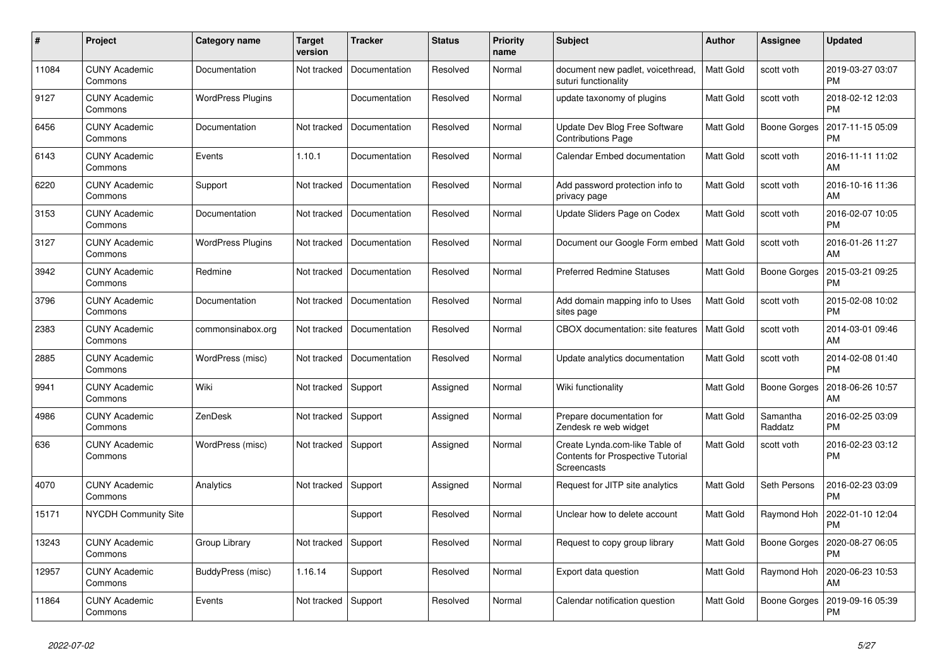| #     | Project                         | Category name            | <b>Target</b><br>version | <b>Tracker</b> | <b>Status</b> | <b>Priority</b><br>name | <b>Subject</b>                                                                     | <b>Author</b>    | Assignee            | <b>Updated</b>                |
|-------|---------------------------------|--------------------------|--------------------------|----------------|---------------|-------------------------|------------------------------------------------------------------------------------|------------------|---------------------|-------------------------------|
| 11084 | <b>CUNY Academic</b><br>Commons | Documentation            | Not tracked              | Documentation  | Resolved      | Normal                  | document new padlet, voicethread,<br>suturi functionality                          | <b>Matt Gold</b> | scott voth          | 2019-03-27 03:07<br><b>PM</b> |
| 9127  | <b>CUNY Academic</b><br>Commons | <b>WordPress Plugins</b> |                          | Documentation  | Resolved      | Normal                  | update taxonomy of plugins                                                         | Matt Gold        | scott voth          | 2018-02-12 12:03<br><b>PM</b> |
| 6456  | <b>CUNY Academic</b><br>Commons | Documentation            | Not tracked              | Documentation  | Resolved      | Normal                  | Update Dev Blog Free Software<br><b>Contributions Page</b>                         | Matt Gold        | Boone Gorges        | 2017-11-15 05:09<br><b>PM</b> |
| 6143  | <b>CUNY Academic</b><br>Commons | Events                   | 1.10.1                   | Documentation  | Resolved      | Normal                  | Calendar Embed documentation                                                       | Matt Gold        | scott voth          | 2016-11-11 11:02<br>AM        |
| 6220  | <b>CUNY Academic</b><br>Commons | Support                  | Not tracked              | Documentation  | Resolved      | Normal                  | Add password protection info to<br>privacy page                                    | Matt Gold        | scott voth          | 2016-10-16 11:36<br>AM        |
| 3153  | <b>CUNY Academic</b><br>Commons | Documentation            | Not tracked              | Documentation  | Resolved      | Normal                  | Update Sliders Page on Codex                                                       | <b>Matt Gold</b> | scott voth          | 2016-02-07 10:05<br><b>PM</b> |
| 3127  | <b>CUNY Academic</b><br>Commons | <b>WordPress Plugins</b> | Not tracked              | Documentation  | Resolved      | Normal                  | Document our Google Form embed                                                     | <b>Matt Gold</b> | scott voth          | 2016-01-26 11:27<br>AM        |
| 3942  | <b>CUNY Academic</b><br>Commons | Redmine                  | Not tracked              | Documentation  | Resolved      | Normal                  | <b>Preferred Redmine Statuses</b>                                                  | Matt Gold        | Boone Gorges        | 2015-03-21 09:25<br><b>PM</b> |
| 3796  | <b>CUNY Academic</b><br>Commons | Documentation            | Not tracked              | Documentation  | Resolved      | Normal                  | Add domain mapping info to Uses<br>sites page                                      | Matt Gold        | scott voth          | 2015-02-08 10:02<br><b>PM</b> |
| 2383  | <b>CUNY Academic</b><br>Commons | commonsinabox.org        | Not tracked              | Documentation  | Resolved      | Normal                  | CBOX documentation: site features                                                  | Matt Gold        | scott voth          | 2014-03-01 09:46<br>AM        |
| 2885  | <b>CUNY Academic</b><br>Commons | WordPress (misc)         | Not tracked              | Documentation  | Resolved      | Normal                  | Update analytics documentation                                                     | Matt Gold        | scott voth          | 2014-02-08 01:40<br><b>PM</b> |
| 9941  | <b>CUNY Academic</b><br>Commons | Wiki                     | Not tracked              | Support        | Assigned      | Normal                  | Wiki functionality                                                                 | Matt Gold        | Boone Gorges        | 2018-06-26 10:57<br>AM        |
| 4986  | <b>CUNY Academic</b><br>Commons | ZenDesk                  | Not tracked              | Support        | Assigned      | Normal                  | Prepare documentation for<br>Zendesk re web widget                                 | Matt Gold        | Samantha<br>Raddatz | 2016-02-25 03:09<br><b>PM</b> |
| 636   | <b>CUNY Academic</b><br>Commons | <b>WordPress (misc)</b>  | Not tracked              | Support        | Assigned      | Normal                  | Create Lynda.com-like Table of<br>Contents for Prospective Tutorial<br>Screencasts | Matt Gold        | scott voth          | 2016-02-23 03:12<br><b>PM</b> |
| 4070  | <b>CUNY Academic</b><br>Commons | Analytics                | Not tracked              | Support        | Assigned      | Normal                  | Request for JITP site analytics                                                    | Matt Gold        | Seth Persons        | 2016-02-23 03:09<br><b>PM</b> |
| 15171 | <b>NYCDH Community Site</b>     |                          |                          | Support        | Resolved      | Normal                  | Unclear how to delete account                                                      | Matt Gold        | Raymond Hoh         | 2022-01-10 12:04<br><b>PM</b> |
| 13243 | <b>CUNY Academic</b><br>Commons | Group Library            | Not tracked              | Support        | Resolved      | Normal                  | Request to copy group library                                                      | Matt Gold        | Boone Gorges        | 2020-08-27 06:05<br><b>PM</b> |
| 12957 | <b>CUNY Academic</b><br>Commons | BuddyPress (misc)        | 1.16.14                  | Support        | Resolved      | Normal                  | Export data question                                                               | Matt Gold        | Raymond Hoh         | 2020-06-23 10:53<br>AM        |
| 11864 | <b>CUNY Academic</b><br>Commons | Events                   | Not tracked              | Support        | Resolved      | Normal                  | Calendar notification question                                                     | Matt Gold        | Boone Gorges        | 2019-09-16 05:39<br><b>PM</b> |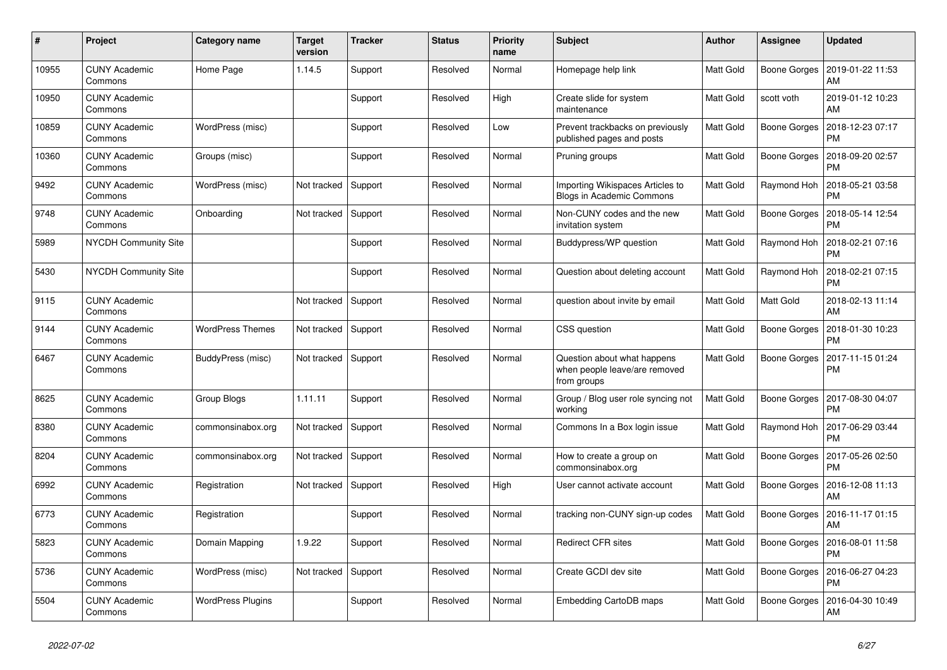| #     | Project                         | Category name            | <b>Target</b><br>version | <b>Tracker</b> | <b>Status</b> | <b>Priority</b><br>name | <b>Subject</b>                                                              | <b>Author</b>    | Assignee            | <b>Updated</b>                |
|-------|---------------------------------|--------------------------|--------------------------|----------------|---------------|-------------------------|-----------------------------------------------------------------------------|------------------|---------------------|-------------------------------|
| 10955 | <b>CUNY Academic</b><br>Commons | Home Page                | 1.14.5                   | Support        | Resolved      | Normal                  | Homepage help link                                                          | <b>Matt Gold</b> | Boone Gorges        | 2019-01-22 11:53<br>AM        |
| 10950 | <b>CUNY Academic</b><br>Commons |                          |                          | Support        | Resolved      | High                    | Create slide for system<br>maintenance                                      | Matt Gold        | scott voth          | 2019-01-12 10:23<br>AM        |
| 10859 | CUNY Academic<br>Commons        | WordPress (misc)         |                          | Support        | Resolved      | Low                     | Prevent trackbacks on previously<br>published pages and posts               | Matt Gold        | Boone Gorges        | 2018-12-23 07:17<br><b>PM</b> |
| 10360 | <b>CUNY Academic</b><br>Commons | Groups (misc)            |                          | Support        | Resolved      | Normal                  | Pruning groups                                                              | Matt Gold        | <b>Boone Gorges</b> | 2018-09-20 02:57<br><b>PM</b> |
| 9492  | <b>CUNY Academic</b><br>Commons | WordPress (misc)         | Not tracked              | Support        | Resolved      | Normal                  | Importing Wikispaces Articles to<br><b>Blogs in Academic Commons</b>        | Matt Gold        | Raymond Hoh         | 2018-05-21 03:58<br><b>PM</b> |
| 9748  | CUNY Academic<br>Commons        | Onboarding               | Not tracked              | Support        | Resolved      | Normal                  | Non-CUNY codes and the new<br>invitation system                             | Matt Gold        | Boone Gorges        | 2018-05-14 12:54<br><b>PM</b> |
| 5989  | <b>NYCDH Community Site</b>     |                          |                          | Support        | Resolved      | Normal                  | Buddypress/WP question                                                      | <b>Matt Gold</b> | Raymond Hoh         | 2018-02-21 07:16<br><b>PM</b> |
| 5430  | <b>NYCDH Community Site</b>     |                          |                          | Support        | Resolved      | Normal                  | Question about deleting account                                             | Matt Gold        | Raymond Hoh         | 2018-02-21 07:15<br>PM        |
| 9115  | CUNY Academic<br>Commons        |                          | Not tracked              | Support        | Resolved      | Normal                  | question about invite by email                                              | Matt Gold        | Matt Gold           | 2018-02-13 11:14<br>AM        |
| 9144  | <b>CUNY Academic</b><br>Commons | <b>WordPress Themes</b>  | Not tracked              | Support        | Resolved      | Normal                  | CSS question                                                                | Matt Gold        | Boone Gorges        | 2018-01-30 10:23<br><b>PM</b> |
| 6467  | <b>CUNY Academic</b><br>Commons | BuddyPress (misc)        | Not tracked              | Support        | Resolved      | Normal                  | Question about what happens<br>when people leave/are removed<br>from groups | Matt Gold        | Boone Gorges        | 2017-11-15 01:24<br>PM        |
| 8625  | CUNY Academic<br>Commons        | Group Blogs              | 1.11.11                  | Support        | Resolved      | Normal                  | Group / Blog user role syncing not<br>working                               | <b>Matt Gold</b> | Boone Gorges        | 2017-08-30 04:07<br><b>PM</b> |
| 8380  | <b>CUNY Academic</b><br>Commons | commonsinabox.org        | Not tracked              | Support        | Resolved      | Normal                  | Commons In a Box login issue                                                | <b>Matt Gold</b> | Raymond Hoh         | 2017-06-29 03:44<br><b>PM</b> |
| 8204  | <b>CUNY Academic</b><br>Commons | commonsinabox.org        | Not tracked              | Support        | Resolved      | Normal                  | How to create a group on<br>commonsinabox.org                               | Matt Gold        | Boone Gorges        | 2017-05-26 02:50<br>PM        |
| 6992  | <b>CUNY Academic</b><br>Commons | Registration             | Not tracked              | Support        | Resolved      | High                    | User cannot activate account                                                | Matt Gold        | Boone Gorges        | 2016-12-08 11:13<br>AM        |
| 6773  | <b>CUNY Academic</b><br>Commons | Registration             |                          | Support        | Resolved      | Normal                  | tracking non-CUNY sign-up codes                                             | <b>Matt Gold</b> | <b>Boone Gorges</b> | 2016-11-17 01:15<br>AM        |
| 5823  | <b>CUNY Academic</b><br>Commons | Domain Mapping           | 1.9.22                   | Support        | Resolved      | Normal                  | <b>Redirect CFR sites</b>                                                   | Matt Gold        | Boone Gorges        | 2016-08-01 11:58<br><b>PM</b> |
| 5736  | <b>CUNY Academic</b><br>Commons | WordPress (misc)         | Not tracked              | Support        | Resolved      | Normal                  | Create GCDI dev site                                                        | Matt Gold        | Boone Gorges        | 2016-06-27 04:23<br><b>PM</b> |
| 5504  | <b>CUNY Academic</b><br>Commons | <b>WordPress Plugins</b> |                          | Support        | Resolved      | Normal                  | Embedding CartoDB maps                                                      | <b>Matt Gold</b> | <b>Boone Gorges</b> | 2016-04-30 10:49<br>AM        |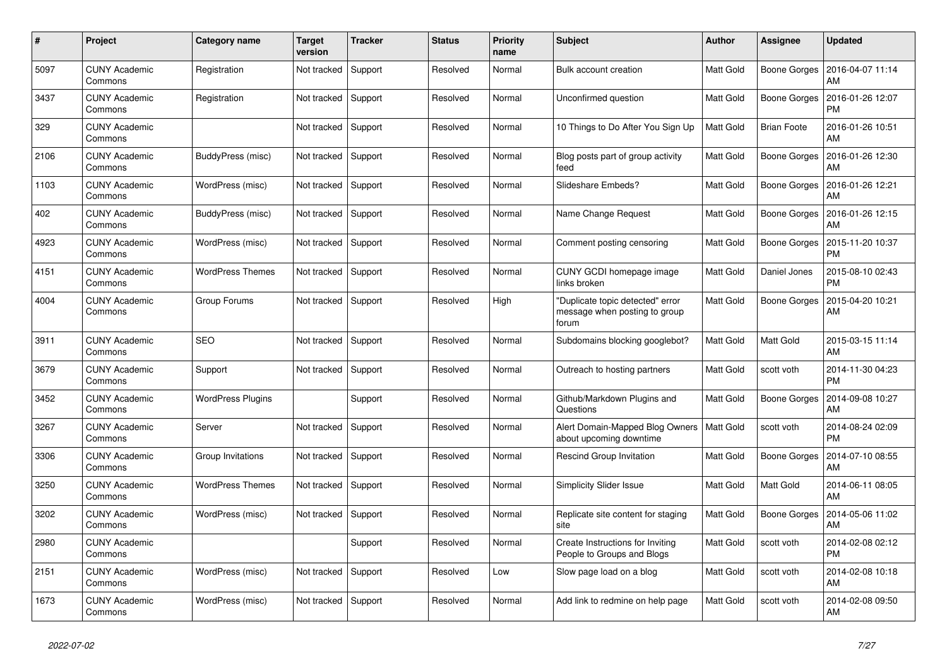| #    | Project                         | Category name            | <b>Target</b><br>version | <b>Tracker</b> | <b>Status</b> | <b>Priority</b><br>name | <b>Subject</b>                                                             | <b>Author</b>    | Assignee            | <b>Updated</b>                |
|------|---------------------------------|--------------------------|--------------------------|----------------|---------------|-------------------------|----------------------------------------------------------------------------|------------------|---------------------|-------------------------------|
| 5097 | <b>CUNY Academic</b><br>Commons | Registration             | Not tracked              | Support        | Resolved      | Normal                  | Bulk account creation                                                      | <b>Matt Gold</b> | Boone Gorges        | 2016-04-07 11:14<br>AM        |
| 3437 | <b>CUNY Academic</b><br>Commons | Registration             | Not tracked              | Support        | Resolved      | Normal                  | Unconfirmed question                                                       | Matt Gold        | <b>Boone Gorges</b> | 2016-01-26 12:07<br><b>PM</b> |
| 329  | CUNY Academic<br>Commons        |                          | Not tracked              | Support        | Resolved      | Normal                  | 10 Things to Do After You Sign Up                                          | Matt Gold        | <b>Brian Foote</b>  | 2016-01-26 10:51<br>AM        |
| 2106 | <b>CUNY Academic</b><br>Commons | BuddyPress (misc)        | Not tracked              | Support        | Resolved      | Normal                  | Blog posts part of group activity<br>feed                                  | <b>Matt Gold</b> | Boone Gorges        | 2016-01-26 12:30<br>AM        |
| 1103 | <b>CUNY Academic</b><br>Commons | WordPress (misc)         | Not tracked              | Support        | Resolved      | Normal                  | Slideshare Embeds?                                                         | Matt Gold        | Boone Gorges        | 2016-01-26 12:21<br>AM        |
| 402  | CUNY Academic<br>Commons        | BuddyPress (misc)        | Not tracked              | Support        | Resolved      | Normal                  | Name Change Request                                                        | <b>Matt Gold</b> | Boone Gorges        | 2016-01-26 12:15<br>AM        |
| 4923 | <b>CUNY Academic</b><br>Commons | WordPress (misc)         | Not tracked              | Support        | Resolved      | Normal                  | Comment posting censoring                                                  | <b>Matt Gold</b> | Boone Gorges        | 2015-11-20 10:37<br><b>PM</b> |
| 4151 | CUNY Academic<br>Commons        | <b>WordPress Themes</b>  | Not tracked              | Support        | Resolved      | Normal                  | CUNY GCDI homepage image<br>links broken                                   | Matt Gold        | Daniel Jones        | 2015-08-10 02:43<br><b>PM</b> |
| 4004 | <b>CUNY Academic</b><br>Commons | Group Forums             | Not tracked              | Support        | Resolved      | High                    | 'Duplicate topic detected" error<br>message when posting to group<br>forum | Matt Gold        | <b>Boone Gorges</b> | 2015-04-20 10:21<br>AM        |
| 3911 | <b>CUNY Academic</b><br>Commons | <b>SEO</b>               | Not tracked              | Support        | Resolved      | Normal                  | Subdomains blocking googlebot?                                             | <b>Matt Gold</b> | <b>Matt Gold</b>    | 2015-03-15 11:14<br>AM        |
| 3679 | CUNY Academic<br>Commons        | Support                  | Not tracked              | Support        | Resolved      | Normal                  | Outreach to hosting partners                                               | Matt Gold        | scott voth          | 2014-11-30 04:23<br><b>PM</b> |
| 3452 | <b>CUNY Academic</b><br>Commons | <b>WordPress Plugins</b> |                          | Support        | Resolved      | Normal                  | Github/Markdown Plugins and<br>Questions                                   | Matt Gold        | <b>Boone Gorges</b> | 2014-09-08 10:27<br>AM        |
| 3267 | <b>CUNY Academic</b><br>Commons | Server                   | Not tracked              | Support        | Resolved      | Normal                  | Alert Domain-Mapped Blog Owners<br>about upcoming downtime                 | <b>Matt Gold</b> | scott voth          | 2014-08-24 02:09<br><b>PM</b> |
| 3306 | CUNY Academic<br>Commons        | Group Invitations        | Not tracked              | Support        | Resolved      | Normal                  | <b>Rescind Group Invitation</b>                                            | Matt Gold        | Boone Gorges        | 2014-07-10 08:55<br>AM        |
| 3250 | <b>CUNY Academic</b><br>Commons | <b>WordPress Themes</b>  | Not tracked              | Support        | Resolved      | Normal                  | <b>Simplicity Slider Issue</b>                                             | Matt Gold        | Matt Gold           | 2014-06-11 08:05<br>AM        |
| 3202 | <b>CUNY Academic</b><br>Commons | WordPress (misc)         | Not tracked              | Support        | Resolved      | Normal                  | Replicate site content for staging<br>site                                 | <b>Matt Gold</b> | <b>Boone Gorges</b> | 2014-05-06 11:02<br>AM        |
| 2980 | CUNY Academic<br>Commons        |                          |                          | Support        | Resolved      | Normal                  | Create Instructions for Inviting<br>People to Groups and Blogs             | Matt Gold        | scott voth          | 2014-02-08 02:12<br><b>PM</b> |
| 2151 | <b>CUNY Academic</b><br>Commons | WordPress (misc)         | Not tracked              | Support        | Resolved      | Low                     | Slow page load on a blog                                                   | Matt Gold        | scott voth          | 2014-02-08 10:18<br>AM        |
| 1673 | CUNY Academic<br>Commons        | WordPress (misc)         | Not tracked              | Support        | Resolved      | Normal                  | Add link to redmine on help page                                           | Matt Gold        | scott voth          | 2014-02-08 09:50<br>AM        |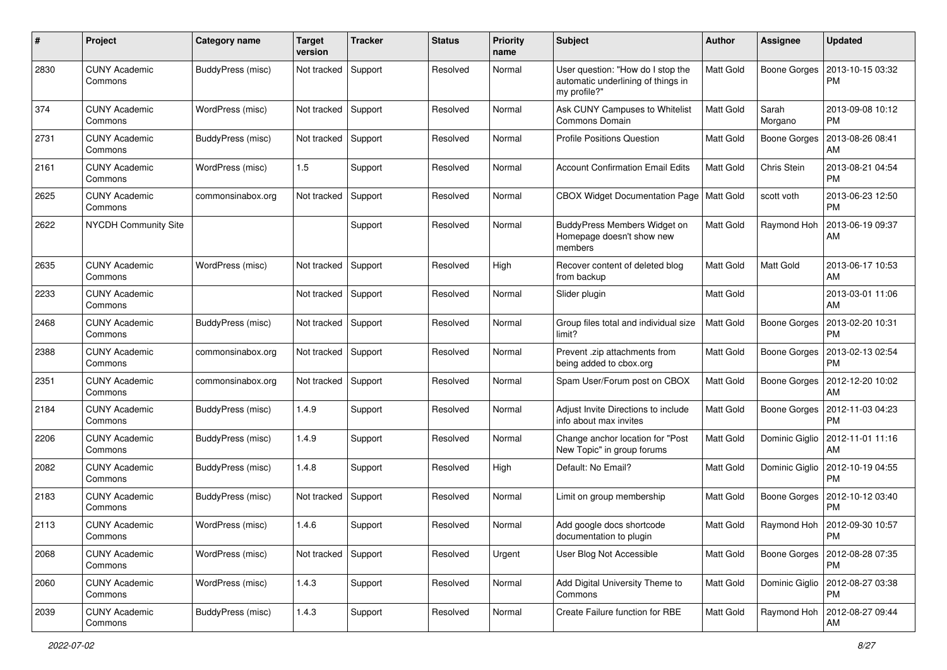| #    | Project                         | <b>Category name</b> | <b>Target</b><br>version | <b>Tracker</b> | <b>Status</b> | <b>Priority</b><br>name | <b>Subject</b>                                                                          | Author    | <b>Assignee</b>     | <b>Updated</b>                       |
|------|---------------------------------|----------------------|--------------------------|----------------|---------------|-------------------------|-----------------------------------------------------------------------------------------|-----------|---------------------|--------------------------------------|
| 2830 | <b>CUNY Academic</b><br>Commons | BuddyPress (misc)    | Not tracked              | Support        | Resolved      | Normal                  | User question: "How do I stop the<br>automatic underlining of things in<br>my profile?" | Matt Gold | <b>Boone Gorges</b> | 2013-10-15 03:32<br><b>PM</b>        |
| 374  | <b>CUNY Academic</b><br>Commons | WordPress (misc)     | Not tracked              | Support        | Resolved      | Normal                  | Ask CUNY Campuses to Whitelist<br>Commons Domain                                        | Matt Gold | Sarah<br>Morgano    | 2013-09-08 10:12<br>PM.              |
| 2731 | <b>CUNY Academic</b><br>Commons | BuddyPress (misc)    | Not tracked              | Support        | Resolved      | Normal                  | <b>Profile Positions Question</b>                                                       | Matt Gold | <b>Boone Gorges</b> | 2013-08-26 08:41<br>AM               |
| 2161 | <b>CUNY Academic</b><br>Commons | WordPress (misc)     | 1.5                      | Support        | Resolved      | Normal                  | <b>Account Confirmation Email Edits</b>                                                 | Matt Gold | Chris Stein         | 2013-08-21 04:54<br><b>PM</b>        |
| 2625 | <b>CUNY Academic</b><br>Commons | commonsinabox.org    | Not tracked              | Support        | Resolved      | Normal                  | CBOX Widget Documentation Page   Matt Gold                                              |           | scott voth          | 2013-06-23 12:50<br><b>PM</b>        |
| 2622 | NYCDH Community Site            |                      |                          | Support        | Resolved      | Normal                  | BuddyPress Members Widget on<br>Homepage doesn't show new<br>members                    | Matt Gold | Raymond Hoh         | 2013-06-19 09:37<br>AM               |
| 2635 | <b>CUNY Academic</b><br>Commons | WordPress (misc)     | Not tracked              | Support        | Resolved      | High                    | Recover content of deleted blog<br>from backup                                          | Matt Gold | <b>Matt Gold</b>    | 2013-06-17 10:53<br>AM               |
| 2233 | <b>CUNY Academic</b><br>Commons |                      | Not tracked              | Support        | Resolved      | Normal                  | Slider plugin                                                                           | Matt Gold |                     | 2013-03-01 11:06<br>AM               |
| 2468 | <b>CUNY Academic</b><br>Commons | BuddyPress (misc)    | Not tracked              | Support        | Resolved      | Normal                  | Group files total and individual size<br>limit?                                         | Matt Gold | Boone Gorges        | 2013-02-20 10:31<br><b>PM</b>        |
| 2388 | <b>CUNY Academic</b><br>Commons | commonsinabox.org    | Not tracked              | Support        | Resolved      | Normal                  | Prevent .zip attachments from<br>being added to cbox.org                                | Matt Gold | Boone Gorges        | 2013-02-13 02:54<br><b>PM</b>        |
| 2351 | <b>CUNY Academic</b><br>Commons | commonsinabox.org    | Not tracked              | Support        | Resolved      | Normal                  | Spam User/Forum post on CBOX                                                            | Matt Gold | Boone Gorges        | 2012-12-20 10:02<br>AM               |
| 2184 | <b>CUNY Academic</b><br>Commons | BuddyPress (misc)    | 1.4.9                    | Support        | Resolved      | Normal                  | Adjust Invite Directions to include<br>info about max invites                           | Matt Gold | Boone Gorges        | 2012-11-03 04:23<br><b>PM</b>        |
| 2206 | <b>CUNY Academic</b><br>Commons | BuddyPress (misc)    | 1.4.9                    | Support        | Resolved      | Normal                  | Change anchor location for "Post<br>New Topic" in group forums                          | Matt Gold | Dominic Giglio      | 2012-11-01 11:16<br>AM               |
| 2082 | <b>CUNY Academic</b><br>Commons | BuddyPress (misc)    | 1.4.8                    | Support        | Resolved      | High                    | Default: No Email?                                                                      | Matt Gold | Dominic Giglio      | 2012-10-19 04:55<br><b>PM</b>        |
| 2183 | <b>CUNY Academic</b><br>Commons | BuddyPress (misc)    | Not tracked              | Support        | Resolved      | Normal                  | Limit on group membership                                                               | Matt Gold | Boone Gorges        | 2012-10-12 03:40<br><b>PM</b>        |
| 2113 | <b>CUNY Academic</b><br>Commons | WordPress (misc)     | 1.4.6                    | Support        | Resolved      | Normal                  | Add google docs shortcode<br>documentation to plugin                                    | Matt Gold |                     | Raymond Hoh   2012-09-30 10:57<br>PM |
| 2068 | <b>CUNY Academic</b><br>Commons | WordPress (misc)     | Not tracked              | Support        | Resolved      | Urgent                  | User Blog Not Accessible                                                                | Matt Gold | Boone Gorges        | 2012-08-28 07:35<br>PM               |
| 2060 | <b>CUNY Academic</b><br>Commons | WordPress (misc)     | 1.4.3                    | Support        | Resolved      | Normal                  | Add Digital University Theme to<br>Commons                                              | Matt Gold | Dominic Giglio      | 2012-08-27 03:38<br><b>PM</b>        |
| 2039 | <b>CUNY Academic</b><br>Commons | BuddyPress (misc)    | 1.4.3                    | Support        | Resolved      | Normal                  | Create Failure function for RBE                                                         | Matt Gold | Raymond Hoh         | 2012-08-27 09:44<br>AM               |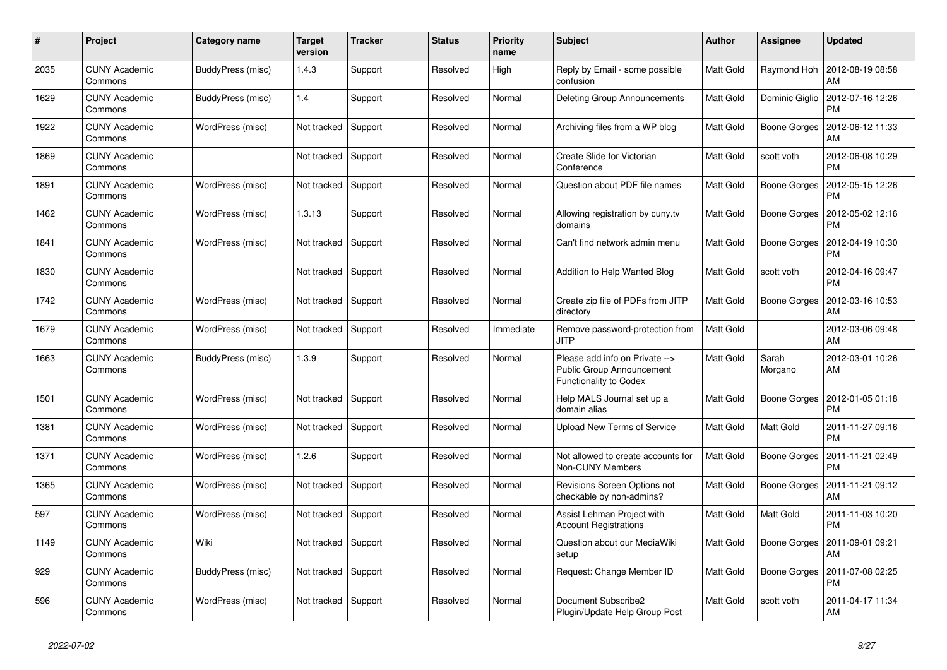| #    | Project                         | Category name     | <b>Target</b><br>version | <b>Tracker</b> | <b>Status</b> | <b>Priority</b><br>name | <b>Subject</b>                                                                                      | <b>Author</b>    | Assignee            | <b>Updated</b>                |
|------|---------------------------------|-------------------|--------------------------|----------------|---------------|-------------------------|-----------------------------------------------------------------------------------------------------|------------------|---------------------|-------------------------------|
| 2035 | <b>CUNY Academic</b><br>Commons | BuddyPress (misc) | 1.4.3                    | Support        | Resolved      | High                    | Reply by Email - some possible<br>confusion                                                         | <b>Matt Gold</b> | Raymond Hoh         | 2012-08-19 08:58<br>AM        |
| 1629 | <b>CUNY Academic</b><br>Commons | BuddyPress (misc) | 1.4                      | Support        | Resolved      | Normal                  | Deleting Group Announcements                                                                        | Matt Gold        | Dominic Giglio      | 2012-07-16 12:26<br><b>PM</b> |
| 1922 | CUNY Academic<br>Commons        | WordPress (misc)  | Not tracked              | Support        | Resolved      | Normal                  | Archiving files from a WP blog                                                                      | Matt Gold        | Boone Gorges        | 2012-06-12 11:33<br>AM        |
| 1869 | <b>CUNY Academic</b><br>Commons |                   | Not tracked              | Support        | Resolved      | Normal                  | Create Slide for Victorian<br>Conference                                                            | <b>Matt Gold</b> | scott voth          | 2012-06-08 10:29<br><b>PM</b> |
| 1891 | <b>CUNY Academic</b><br>Commons | WordPress (misc)  | Not tracked              | Support        | Resolved      | Normal                  | Question about PDF file names                                                                       | Matt Gold        | <b>Boone Gorges</b> | 2012-05-15 12:26<br><b>PM</b> |
| 1462 | <b>CUNY Academic</b><br>Commons | WordPress (misc)  | 1.3.13                   | Support        | Resolved      | Normal                  | Allowing registration by cuny tv<br>domains                                                         | Matt Gold        | Boone Gorges        | 2012-05-02 12:16<br><b>PM</b> |
| 1841 | <b>CUNY Academic</b><br>Commons | WordPress (misc)  | Not tracked              | Support        | Resolved      | Normal                  | Can't find network admin menu                                                                       | <b>Matt Gold</b> | Boone Gorges        | 2012-04-19 10:30<br><b>PM</b> |
| 1830 | <b>CUNY Academic</b><br>Commons |                   | Not tracked              | Support        | Resolved      | Normal                  | <b>Addition to Help Wanted Blog</b>                                                                 | Matt Gold        | scott voth          | 2012-04-16 09:47<br><b>PM</b> |
| 1742 | <b>CUNY Academic</b><br>Commons | WordPress (misc)  | Not tracked              | Support        | Resolved      | Normal                  | Create zip file of PDFs from JITP<br>directory                                                      | Matt Gold        | <b>Boone Gorges</b> | 2012-03-16 10:53<br>AM        |
| 1679 | <b>CUNY Academic</b><br>Commons | WordPress (misc)  | Not tracked              | Support        | Resolved      | Immediate               | Remove password-protection from<br><b>JITP</b>                                                      | Matt Gold        |                     | 2012-03-06 09:48<br>AM        |
| 1663 | <b>CUNY Academic</b><br>Commons | BuddyPress (misc) | 1.3.9                    | Support        | Resolved      | Normal                  | Please add info on Private --><br><b>Public Group Announcement</b><br><b>Functionality to Codex</b> | Matt Gold        | Sarah<br>Morgano    | 2012-03-01 10:26<br>AM        |
| 1501 | <b>CUNY Academic</b><br>Commons | WordPress (misc)  | Not tracked              | Support        | Resolved      | Normal                  | Help MALS Journal set up a<br>domain alias                                                          | Matt Gold        | Boone Gorges        | 2012-01-05 01:18<br><b>PM</b> |
| 1381 | <b>CUNY Academic</b><br>Commons | WordPress (misc)  | Not tracked              | Support        | Resolved      | Normal                  | <b>Upload New Terms of Service</b>                                                                  | <b>Matt Gold</b> | Matt Gold           | 2011-11-27 09:16<br><b>PM</b> |
| 1371 | <b>CUNY Academic</b><br>Commons | WordPress (misc)  | 1.2.6                    | Support        | Resolved      | Normal                  | Not allowed to create accounts for<br><b>Non-CUNY Members</b>                                       | Matt Gold        | <b>Boone Gorges</b> | 2011-11-21 02:49<br><b>PM</b> |
| 1365 | <b>CUNY Academic</b><br>Commons | WordPress (misc)  | Not tracked              | Support        | Resolved      | Normal                  | Revisions Screen Options not<br>checkable by non-admins?                                            | Matt Gold        | Boone Gorges        | 2011-11-21 09:12<br>AM        |
| 597  | <b>CUNY Academic</b><br>Commons | WordPress (misc)  | Not tracked              | Support        | Resolved      | Normal                  | Assist Lehman Project with<br><b>Account Registrations</b>                                          | Matt Gold        | Matt Gold           | 2011-11-03 10:20<br><b>PM</b> |
| 1149 | CUNY Academic<br>Commons        | Wiki              | Not tracked              | Support        | Resolved      | Normal                  | Question about our MediaWiki<br>setup                                                               | <b>Matt Gold</b> | Boone Gorges        | 2011-09-01 09:21<br>AM        |
| 929  | <b>CUNY Academic</b><br>Commons | BuddyPress (misc) | Not tracked              | Support        | Resolved      | Normal                  | Request: Change Member ID                                                                           | Matt Gold        | Boone Gorges        | 2011-07-08 02:25<br><b>PM</b> |
| 596  | CUNY Academic<br>Commons        | WordPress (misc)  | Not tracked              | Support        | Resolved      | Normal                  | Document Subscribe2<br>Plugin/Update Help Group Post                                                | Matt Gold        | scott voth          | 2011-04-17 11:34<br>AM        |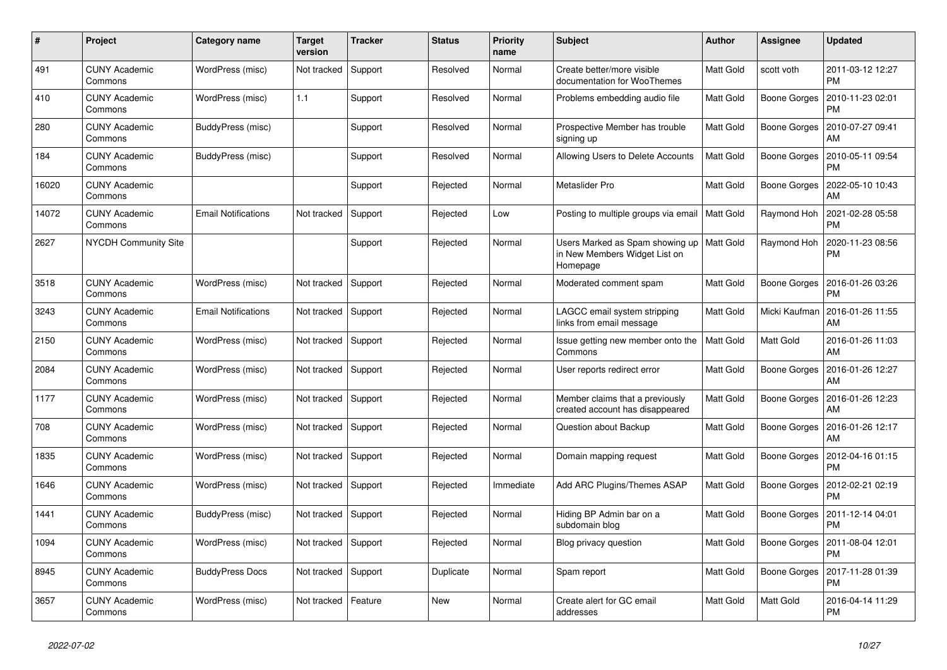| #     | Project                         | Category name              | <b>Target</b><br>version | <b>Tracker</b> | <b>Status</b> | <b>Priority</b><br>name | <b>Subject</b>                                                               | <b>Author</b>    | Assignee            | <b>Updated</b>                |
|-------|---------------------------------|----------------------------|--------------------------|----------------|---------------|-------------------------|------------------------------------------------------------------------------|------------------|---------------------|-------------------------------|
| 491   | <b>CUNY Academic</b><br>Commons | WordPress (misc)           | Not tracked              | Support        | Resolved      | Normal                  | Create better/more visible<br>documentation for WooThemes                    | <b>Matt Gold</b> | scott voth          | 2011-03-12 12:27<br><b>PM</b> |
| 410   | <b>CUNY Academic</b><br>Commons | WordPress (misc)           | 1.1                      | Support        | Resolved      | Normal                  | Problems embedding audio file                                                | Matt Gold        | <b>Boone Gorges</b> | 2010-11-23 02:01<br><b>PM</b> |
| 280   | CUNY Academic<br>Commons        | BuddyPress (misc)          |                          | Support        | Resolved      | Normal                  | Prospective Member has trouble<br>signing up                                 | Matt Gold        | Boone Gorges        | 2010-07-27 09:41<br>AM        |
| 184   | <b>CUNY Academic</b><br>Commons | BuddyPress (misc)          |                          | Support        | Resolved      | Normal                  | Allowing Users to Delete Accounts                                            | <b>Matt Gold</b> | Boone Gorges        | 2010-05-11 09:54<br><b>PM</b> |
| 16020 | <b>CUNY Academic</b><br>Commons |                            |                          | Support        | Rejected      | Normal                  | Metaslider Pro                                                               | Matt Gold        | Boone Gorges        | 2022-05-10 10:43<br>AM        |
| 14072 | <b>CUNY Academic</b><br>Commons | <b>Email Notifications</b> | Not tracked              | Support        | Rejected      | Low                     | Posting to multiple groups via email                                         | Matt Gold        | Raymond Hoh         | 2021-02-28 05:58<br><b>PM</b> |
| 2627  | <b>NYCDH Community Site</b>     |                            |                          | Support        | Rejected      | Normal                  | Users Marked as Spam showing up<br>in New Members Widget List on<br>Homepage | Matt Gold        | Raymond Hoh         | 2020-11-23 08:56<br><b>PM</b> |
| 3518  | <b>CUNY Academic</b><br>Commons | WordPress (misc)           | Not tracked              | Support        | Rejected      | Normal                  | Moderated comment spam                                                       | <b>Matt Gold</b> | Boone Gorges        | 2016-01-26 03:26<br><b>PM</b> |
| 3243  | <b>CUNY Academic</b><br>Commons | <b>Email Notifications</b> | Not tracked              | Support        | Rejected      | Normal                  | LAGCC email system stripping<br>links from email message                     | Matt Gold        | Micki Kaufman       | 2016-01-26 11:55<br>AM        |
| 2150  | <b>CUNY Academic</b><br>Commons | WordPress (misc)           | Not tracked              | Support        | Rejected      | Normal                  | Issue getting new member onto the<br>Commons                                 | <b>Matt Gold</b> | Matt Gold           | 2016-01-26 11:03<br>AM        |
| 2084  | <b>CUNY Academic</b><br>Commons | WordPress (misc)           | Not tracked              | Support        | Rejected      | Normal                  | User reports redirect error                                                  | Matt Gold        | Boone Gorges        | 2016-01-26 12:27<br>AM        |
| 1177  | <b>CUNY Academic</b><br>Commons | WordPress (misc)           | Not tracked              | Support        | Rejected      | Normal                  | Member claims that a previously<br>created account has disappeared           | Matt Gold        | Boone Gorges        | 2016-01-26 12:23<br>AM        |
| 708   | <b>CUNY Academic</b><br>Commons | WordPress (misc)           | Not tracked              | Support        | Rejected      | Normal                  | Question about Backup                                                        | <b>Matt Gold</b> | <b>Boone Gorges</b> | 2016-01-26 12:17<br>AM        |
| 1835  | <b>CUNY Academic</b><br>Commons | WordPress (misc)           | Not tracked              | Support        | Rejected      | Normal                  | Domain mapping request                                                       | Matt Gold        | Boone Gorges        | 2012-04-16 01:15<br>PM        |
| 1646  | <b>CUNY Academic</b><br>Commons | WordPress (misc)           | Not tracked              | Support        | Rejected      | Immediate               | Add ARC Plugins/Themes ASAP                                                  | Matt Gold        | Boone Gorges        | 2012-02-21 02:19<br><b>PM</b> |
| 1441  | <b>CUNY Academic</b><br>Commons | BuddyPress (misc)          | Not tracked              | Support        | Rejected      | Normal                  | Hiding BP Admin bar on a<br>subdomain blog                                   | <b>Matt Gold</b> | <b>Boone Gorges</b> | 2011-12-14 04:01<br><b>PM</b> |
| 1094  | <b>CUNY Academic</b><br>Commons | WordPress (misc)           | Not tracked              | Support        | Rejected      | Normal                  | Blog privacy question                                                        | Matt Gold        | Boone Gorges        | 2011-08-04 12:01<br><b>PM</b> |
| 8945  | <b>CUNY Academic</b><br>Commons | <b>BuddyPress Docs</b>     | Not tracked              | Support        | Duplicate     | Normal                  | Spam report                                                                  | Matt Gold        | Boone Gorges        | 2017-11-28 01:39<br><b>PM</b> |
| 3657  | <b>CUNY Academic</b><br>Commons | WordPress (misc)           | Not tracked              | Feature        | New           | Normal                  | Create alert for GC email<br>addresses                                       | Matt Gold        | Matt Gold           | 2016-04-14 11:29<br><b>PM</b> |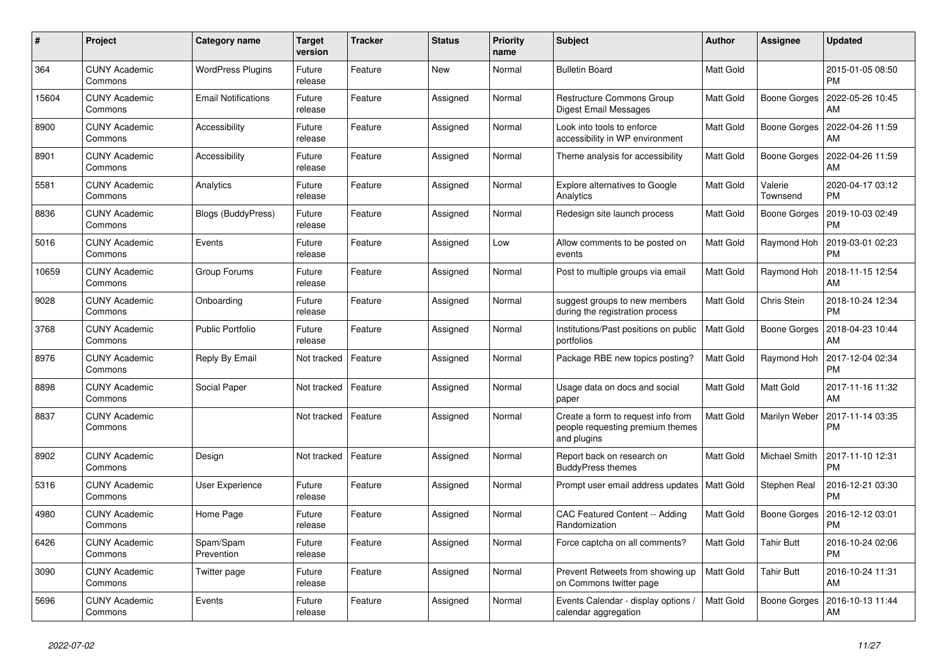| #     | Project                         | Category name              | <b>Target</b><br>version | <b>Tracker</b> | <b>Status</b> | <b>Priority</b><br>name | <b>Subject</b>                                                                        | <b>Author</b>    | Assignee            | <b>Updated</b>                |
|-------|---------------------------------|----------------------------|--------------------------|----------------|---------------|-------------------------|---------------------------------------------------------------------------------------|------------------|---------------------|-------------------------------|
| 364   | <b>CUNY Academic</b><br>Commons | <b>WordPress Plugins</b>   | Future<br>release        | Feature        | New           | Normal                  | <b>Bulletin Board</b>                                                                 | Matt Gold        |                     | 2015-01-05 08:50<br><b>PM</b> |
| 15604 | <b>CUNY Academic</b><br>Commons | <b>Email Notifications</b> | Future<br>release        | Feature        | Assigned      | Normal                  | Restructure Commons Group<br>Digest Email Messages                                    | Matt Gold        | <b>Boone Gorges</b> | 2022-05-26 10:45<br>AM        |
| 8900  | CUNY Academic<br>Commons        | Accessibility              | Future<br>release        | Feature        | Assigned      | Normal                  | Look into tools to enforce<br>accessibility in WP environment                         | Matt Gold        | Boone Gorges        | 2022-04-26 11:59<br>AM        |
| 8901  | <b>CUNY Academic</b><br>Commons | Accessibility              | Future<br>release        | Feature        | Assigned      | Normal                  | Theme analysis for accessibility                                                      | Matt Gold        | Boone Gorges        | 2022-04-26 11:59<br>AM        |
| 5581  | <b>CUNY Academic</b><br>Commons | Analytics                  | Future<br>release        | Feature        | Assigned      | Normal                  | <b>Explore alternatives to Google</b><br>Analytics                                    | Matt Gold        | Valerie<br>Townsend | 2020-04-17 03:12<br><b>PM</b> |
| 8836  | CUNY Academic<br>Commons        | Blogs (BuddyPress)         | Future<br>release        | Feature        | Assigned      | Normal                  | Redesign site launch process                                                          | Matt Gold        | <b>Boone Gorges</b> | 2019-10-03 02:49<br><b>PM</b> |
| 5016  | <b>CUNY Academic</b><br>Commons | Events                     | Future<br>release        | Feature        | Assigned      | Low                     | Allow comments to be posted on<br>events                                              | Matt Gold        | Raymond Hoh         | 2019-03-01 02:23<br><b>PM</b> |
| 10659 | <b>CUNY Academic</b><br>Commons | Group Forums               | Future<br>release        | Feature        | Assigned      | Normal                  | Post to multiple groups via email                                                     | Matt Gold        | Raymond Hoh         | 2018-11-15 12:54<br>AM        |
| 9028  | <b>CUNY Academic</b><br>Commons | Onboarding                 | Future<br>release        | Feature        | Assigned      | Normal                  | suggest groups to new members<br>during the registration process                      | Matt Gold        | Chris Stein         | 2018-10-24 12:34<br><b>PM</b> |
| 3768  | <b>CUNY Academic</b><br>Commons | <b>Public Portfolio</b>    | Future<br>release        | Feature        | Assigned      | Normal                  | Institutions/Past positions on public<br>portfolios                                   | Matt Gold        | Boone Gorges        | 2018-04-23 10:44<br>AM        |
| 8976  | <b>CUNY Academic</b><br>Commons | <b>Reply By Email</b>      | Not tracked              | Feature        | Assigned      | Normal                  | Package RBE new topics posting?                                                       | Matt Gold        | Raymond Hoh         | 2017-12-04 02:34<br><b>PM</b> |
| 8898  | <b>CUNY Academic</b><br>Commons | Social Paper               | Not tracked              | Feature        | Assigned      | Normal                  | Usage data on docs and social<br>paper                                                | Matt Gold        | Matt Gold           | 2017-11-16 11:32<br>AM        |
| 8837  | <b>CUNY Academic</b><br>Commons |                            | Not tracked              | Feature        | Assigned      | Normal                  | Create a form to request info from<br>people requesting premium themes<br>and plugins | Matt Gold        | Marilyn Weber       | 2017-11-14 03:35<br><b>PM</b> |
| 8902  | CUNY Academic<br>Commons        | Design                     | Not tracked              | Feature        | Assigned      | Normal                  | Report back on research on<br><b>BuddyPress themes</b>                                | Matt Gold        | Michael Smith       | 2017-11-10 12:31<br>PM        |
| 5316  | <b>CUNY Academic</b><br>Commons | <b>User Experience</b>     | Future<br>release        | Feature        | Assigned      | Normal                  | Prompt user email address updates                                                     | Matt Gold        | Stephen Real        | 2016-12-21 03:30<br><b>PM</b> |
| 4980  | <b>CUNY Academic</b><br>Commons | Home Page                  | Future<br>release        | Feature        | Assigned      | Normal                  | CAC Featured Content -- Adding<br>Randomization                                       | Matt Gold        | <b>Boone Gorges</b> | 2016-12-12 03:01<br><b>PM</b> |
| 6426  | CUNY Academic<br>Commons        | Spam/Spam<br>Prevention    | Future<br>release        | Feature        | Assigned      | Normal                  | Force captcha on all comments?                                                        | <b>Matt Gold</b> | <b>Tahir Butt</b>   | 2016-10-24 02:06<br><b>PM</b> |
| 3090  | <b>CUNY Academic</b><br>Commons | Twitter page               | Future<br>release        | Feature        | Assigned      | Normal                  | Prevent Retweets from showing up<br>on Commons twitter page                           | <b>Matt Gold</b> | <b>Tahir Butt</b>   | 2016-10-24 11:31<br>AM        |
| 5696  | CUNY Academic<br>Commons        | Events                     | Future<br>release        | Feature        | Assigned      | Normal                  | Events Calendar - display options /<br>calendar aggregation                           | <b>Matt Gold</b> | Boone Gorges        | 2016-10-13 11:44<br>AM        |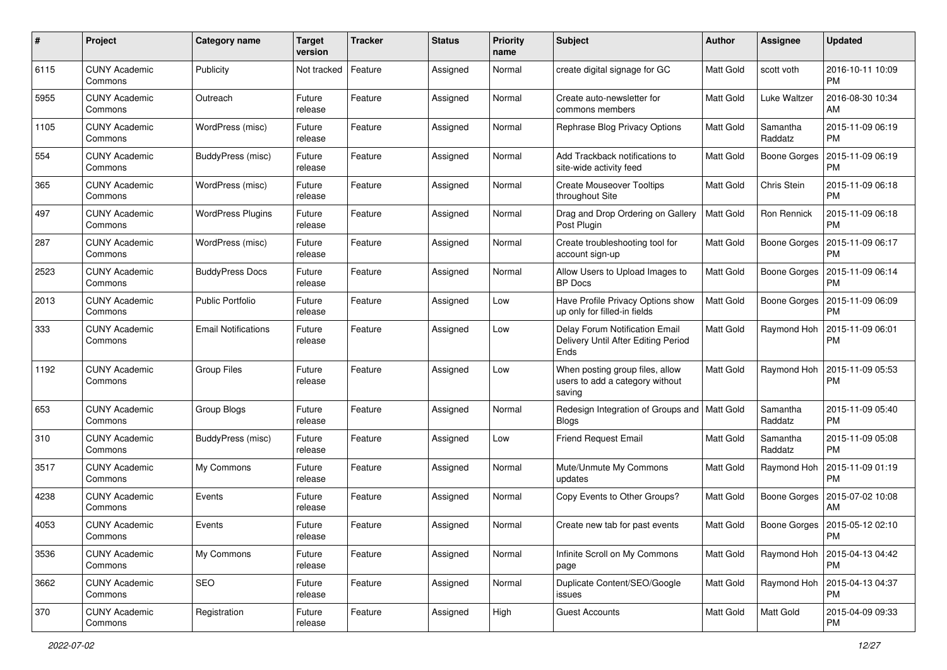| #    | Project                         | Category name              | <b>Target</b><br>version | <b>Tracker</b> | <b>Status</b> | <b>Priority</b><br>name | <b>Subject</b>                                                                | Author           | Assignee            | <b>Updated</b>                              |
|------|---------------------------------|----------------------------|--------------------------|----------------|---------------|-------------------------|-------------------------------------------------------------------------------|------------------|---------------------|---------------------------------------------|
| 6115 | <b>CUNY Academic</b><br>Commons | Publicity                  | Not tracked              | Feature        | Assigned      | Normal                  | create digital signage for GC                                                 | Matt Gold        | scott voth          | 2016-10-11 10:09<br><b>PM</b>               |
| 5955 | <b>CUNY Academic</b><br>Commons | Outreach                   | Future<br>release        | Feature        | Assigned      | Normal                  | Create auto-newsletter for<br>commons members                                 | <b>Matt Gold</b> | <b>Luke Waltzer</b> | 2016-08-30 10:34<br>AM                      |
| 1105 | <b>CUNY Academic</b><br>Commons | WordPress (misc)           | Future<br>release        | Feature        | Assigned      | Normal                  | Rephrase Blog Privacy Options                                                 | Matt Gold        | Samantha<br>Raddatz | 2015-11-09 06:19<br><b>PM</b>               |
| 554  | <b>CUNY Academic</b><br>Commons | BuddyPress (misc)          | Future<br>release        | Feature        | Assigned      | Normal                  | Add Trackback notifications to<br>site-wide activity feed                     | Matt Gold        | <b>Boone Gorges</b> | 2015-11-09 06:19<br><b>PM</b>               |
| 365  | <b>CUNY Academic</b><br>Commons | WordPress (misc)           | Future<br>release        | Feature        | Assigned      | Normal                  | <b>Create Mouseover Tooltips</b><br>throughout Site                           | Matt Gold        | Chris Stein         | 2015-11-09 06:18<br><b>PM</b>               |
| 497  | <b>CUNY Academic</b><br>Commons | <b>WordPress Plugins</b>   | Future<br>release        | Feature        | Assigned      | Normal                  | Drag and Drop Ordering on Gallery<br>Post Plugin                              | Matt Gold        | Ron Rennick         | 2015-11-09 06:18<br><b>PM</b>               |
| 287  | <b>CUNY Academic</b><br>Commons | WordPress (misc)           | Future<br>release        | Feature        | Assigned      | Normal                  | Create troubleshooting tool for<br>account sign-up                            | Matt Gold        | Boone Gorges        | 2015-11-09 06:17<br><b>PM</b>               |
| 2523 | <b>CUNY Academic</b><br>Commons | <b>BuddyPress Docs</b>     | Future<br>release        | Feature        | Assigned      | Normal                  | Allow Users to Upload Images to<br><b>BP</b> Docs                             | Matt Gold        | Boone Gorges        | 2015-11-09 06:14<br><b>PM</b>               |
| 2013 | <b>CUNY Academic</b><br>Commons | <b>Public Portfolio</b>    | Future<br>release        | Feature        | Assigned      | Low                     | Have Profile Privacy Options show<br>up only for filled-in fields             | Matt Gold        | Boone Gorges        | 2015-11-09 06:09<br><b>PM</b>               |
| 333  | <b>CUNY Academic</b><br>Commons | <b>Email Notifications</b> | Future<br>release        | Feature        | Assigned      | Low                     | Delay Forum Notification Email<br>Delivery Until After Editing Period<br>Ends | Matt Gold        | Raymond Hoh         | 2015-11-09 06:01<br><b>PM</b>               |
| 1192 | <b>CUNY Academic</b><br>Commons | <b>Group Files</b>         | Future<br>release        | Feature        | Assigned      | Low                     | When posting group files, allow<br>users to add a category without<br>saving  | <b>Matt Gold</b> | Raymond Hoh         | 2015-11-09 05:53<br><b>PM</b>               |
| 653  | <b>CUNY Academic</b><br>Commons | Group Blogs                | Future<br>release        | Feature        | Assigned      | Normal                  | Redesign Integration of Groups and<br><b>Blogs</b>                            | Matt Gold        | Samantha<br>Raddatz | 2015-11-09 05:40<br><b>PM</b>               |
| 310  | <b>CUNY Academic</b><br>Commons | BuddyPress (misc)          | Future<br>release        | Feature        | Assigned      | Low                     | <b>Friend Request Email</b>                                                   | Matt Gold        | Samantha<br>Raddatz | 2015-11-09 05:08<br><b>PM</b>               |
| 3517 | <b>CUNY Academic</b><br>Commons | My Commons                 | Future<br>release        | Feature        | Assigned      | Normal                  | Mute/Unmute My Commons<br>updates                                             | Matt Gold        | Raymond Hoh         | 2015-11-09 01:19<br><b>PM</b>               |
| 4238 | <b>CUNY Academic</b><br>Commons | Events                     | Future<br>release        | Feature        | Assigned      | Normal                  | Copy Events to Other Groups?                                                  | Matt Gold        | Boone Gorges        | 2015-07-02 10:08<br>AM                      |
| 4053 | <b>CUNY Academic</b><br>Commons | Events                     | Future<br>release        | Feature        | Assigned      | Normal                  | Create new tab for past events                                                | Matt Gold        |                     | Boone Gorges   2015-05-12 02:10<br>PM       |
| 3536 | <b>CUNY Academic</b><br>Commons | My Commons                 | Future<br>release        | Feature        | Assigned      | Normal                  | Infinite Scroll on My Commons<br>page                                         | Matt Gold        | Raymond Hoh         | 2015-04-13 04:42<br>PM                      |
| 3662 | <b>CUNY Academic</b><br>Commons | SEO                        | Future<br>release        | Feature        | Assigned      | Normal                  | Duplicate Content/SEO/Google<br>issues                                        | Matt Gold        |                     | Raymond Hoh   2015-04-13 04:37<br><b>PM</b> |
| 370  | <b>CUNY Academic</b><br>Commons | Registration               | Future<br>release        | Feature        | Assigned      | High                    | <b>Guest Accounts</b>                                                         | Matt Gold        | Matt Gold           | 2015-04-09 09:33<br>PM.                     |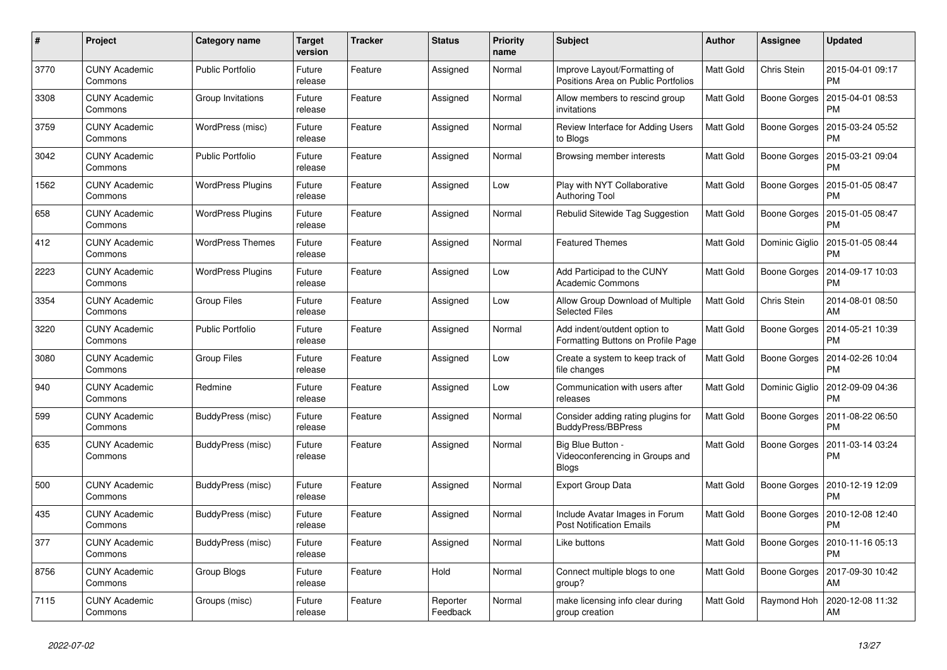| $\#$ | Project                         | Category name            | <b>Target</b><br>version | <b>Tracker</b> | <b>Status</b>        | <b>Priority</b><br>name | <b>Subject</b>                                                       | <b>Author</b>    | Assignee            | <b>Updated</b>                |
|------|---------------------------------|--------------------------|--------------------------|----------------|----------------------|-------------------------|----------------------------------------------------------------------|------------------|---------------------|-------------------------------|
| 3770 | <b>CUNY Academic</b><br>Commons | <b>Public Portfolio</b>  | Future<br>release        | Feature        | Assigned             | Normal                  | Improve Layout/Formatting of<br>Positions Area on Public Portfolios  | <b>Matt Gold</b> | Chris Stein         | 2015-04-01 09:17<br>PM        |
| 3308 | <b>CUNY Academic</b><br>Commons | Group Invitations        | Future<br>release        | Feature        | Assigned             | Normal                  | Allow members to rescind group<br>invitations                        | <b>Matt Gold</b> | Boone Gorges        | 2015-04-01 08:53<br><b>PM</b> |
| 3759 | <b>CUNY Academic</b><br>Commons | WordPress (misc)         | Future<br>release        | Feature        | Assigned             | Normal                  | Review Interface for Adding Users<br>to Blogs                        | <b>Matt Gold</b> | Boone Gorges        | 2015-03-24 05:52<br><b>PM</b> |
| 3042 | <b>CUNY Academic</b><br>Commons | <b>Public Portfolio</b>  | Future<br>release        | Feature        | Assigned             | Normal                  | Browsing member interests                                            | <b>Matt Gold</b> | Boone Gorges        | 2015-03-21 09:04<br><b>PM</b> |
| 1562 | <b>CUNY Academic</b><br>Commons | <b>WordPress Plugins</b> | Future<br>release        | Feature        | Assigned             | Low                     | Play with NYT Collaborative<br><b>Authoring Tool</b>                 | Matt Gold        | Boone Gorges        | 2015-01-05 08:47<br><b>PM</b> |
| 658  | <b>CUNY Academic</b><br>Commons | <b>WordPress Plugins</b> | Future<br>release        | Feature        | Assigned             | Normal                  | Rebulid Sitewide Tag Suggestion                                      | Matt Gold        | Boone Gorges        | 2015-01-05 08:47<br><b>PM</b> |
| 412  | <b>CUNY Academic</b><br>Commons | <b>WordPress Themes</b>  | Future<br>release        | Feature        | Assigned             | Normal                  | <b>Featured Themes</b>                                               | <b>Matt Gold</b> | Dominic Giglio      | 2015-01-05 08:44<br><b>PM</b> |
| 2223 | <b>CUNY Academic</b><br>Commons | <b>WordPress Plugins</b> | Future<br>release        | Feature        | Assigned             | Low                     | Add Participad to the CUNY<br><b>Academic Commons</b>                | <b>Matt Gold</b> | Boone Gorges        | 2014-09-17 10:03<br><b>PM</b> |
| 3354 | <b>CUNY Academic</b><br>Commons | Group Files              | Future<br>release        | Feature        | Assigned             | Low                     | Allow Group Download of Multiple<br><b>Selected Files</b>            | Matt Gold        | Chris Stein         | 2014-08-01 08:50<br>AM        |
| 3220 | <b>CUNY Academic</b><br>Commons | <b>Public Portfolio</b>  | Future<br>release        | Feature        | Assigned             | Normal                  | Add indent/outdent option to<br>Formatting Buttons on Profile Page   | <b>Matt Gold</b> | Boone Gorges        | 2014-05-21 10:39<br><b>PM</b> |
| 3080 | <b>CUNY Academic</b><br>Commons | Group Files              | Future<br>release        | Feature        | Assigned             | Low                     | Create a system to keep track of<br>file changes                     | <b>Matt Gold</b> | Boone Gorges        | 2014-02-26 10:04<br><b>PM</b> |
| 940  | <b>CUNY Academic</b><br>Commons | Redmine                  | Future<br>release        | Feature        | Assigned             | Low                     | Communication with users after<br>releases                           | Matt Gold        | Dominic Giglio      | 2012-09-09 04:36<br><b>PM</b> |
| 599  | <b>CUNY Academic</b><br>Commons | BuddyPress (misc)        | Future<br>release        | Feature        | Assigned             | Normal                  | Consider adding rating plugins for<br><b>BuddyPress/BBPress</b>      | <b>Matt Gold</b> | Boone Gorges        | 2011-08-22 06:50<br><b>PM</b> |
| 635  | <b>CUNY Academic</b><br>Commons | BuddyPress (misc)        | Future<br>release        | Feature        | Assigned             | Normal                  | Big Blue Button -<br>Videoconferencing in Groups and<br><b>Blogs</b> | <b>Matt Gold</b> | Boone Gorges        | 2011-03-14 03:24<br><b>PM</b> |
| 500  | <b>CUNY Academic</b><br>Commons | BuddyPress (misc)        | Future<br>release        | Feature        | Assigned             | Normal                  | <b>Export Group Data</b>                                             | Matt Gold        | Boone Gorges        | 2010-12-19 12:09<br><b>PM</b> |
| 435  | <b>CUNY Academic</b><br>Commons | BuddyPress (misc)        | Future<br>release        | Feature        | Assigned             | Normal                  | Include Avatar Images in Forum<br><b>Post Notification Emails</b>    | <b>Matt Gold</b> | <b>Boone Gorges</b> | 2010-12-08 12:40<br><b>PM</b> |
| 377  | <b>CUNY Academic</b><br>Commons | BuddyPress (misc)        | Future<br>release        | Feature        | Assigned             | Normal                  | Like buttons                                                         | <b>Matt Gold</b> | Boone Gorges        | 2010-11-16 05:13<br><b>PM</b> |
| 8756 | <b>CUNY Academic</b><br>Commons | Group Blogs              | Future<br>release        | Feature        | Hold                 | Normal                  | Connect multiple blogs to one<br>group?                              | Matt Gold        | Boone Gorges        | 2017-09-30 10:42<br>AM        |
| 7115 | <b>CUNY Academic</b><br>Commons | Groups (misc)            | Future<br>release        | Feature        | Reporter<br>Feedback | Normal                  | make licensing info clear during<br>group creation                   | <b>Matt Gold</b> | Raymond Hoh         | 2020-12-08 11:32<br>AM        |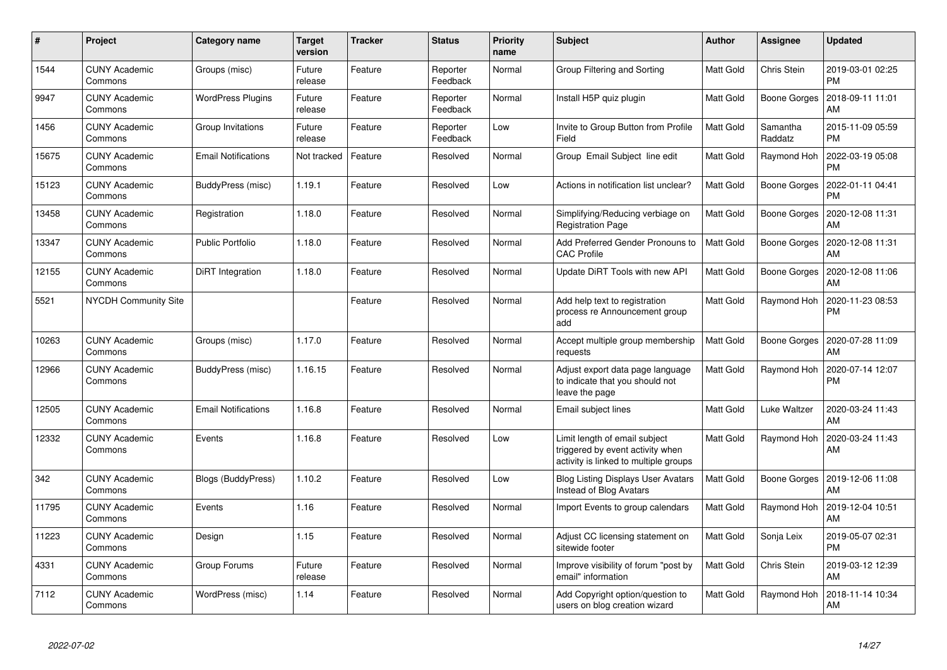| $\#$  | Project                         | Category name              | <b>Target</b><br>version | <b>Tracker</b> | <b>Status</b>        | <b>Priority</b><br>name | <b>Subject</b>                                                                                             | <b>Author</b>    | Assignee            | <b>Updated</b>                |
|-------|---------------------------------|----------------------------|--------------------------|----------------|----------------------|-------------------------|------------------------------------------------------------------------------------------------------------|------------------|---------------------|-------------------------------|
| 1544  | <b>CUNY Academic</b><br>Commons | Groups (misc)              | Future<br>release        | Feature        | Reporter<br>Feedback | Normal                  | Group Filtering and Sorting                                                                                | <b>Matt Gold</b> | Chris Stein         | 2019-03-01 02:25<br><b>PM</b> |
| 9947  | <b>CUNY Academic</b><br>Commons | <b>WordPress Plugins</b>   | Future<br>release        | Feature        | Reporter<br>Feedback | Normal                  | Install H5P quiz plugin                                                                                    | <b>Matt Gold</b> | <b>Boone Gorges</b> | 2018-09-11 11:01<br>AM        |
| 1456  | <b>CUNY Academic</b><br>Commons | Group Invitations          | Future<br>release        | Feature        | Reporter<br>Feedback | Low                     | Invite to Group Button from Profile<br>Field                                                               | Matt Gold        | Samantha<br>Raddatz | 2015-11-09 05:59<br><b>PM</b> |
| 15675 | <b>CUNY Academic</b><br>Commons | <b>Email Notifications</b> | Not tracked              | Feature        | Resolved             | Normal                  | Group Email Subject line edit                                                                              | <b>Matt Gold</b> | Raymond Hoh         | 2022-03-19 05:08<br><b>PM</b> |
| 15123 | <b>CUNY Academic</b><br>Commons | BuddyPress (misc)          | 1.19.1                   | Feature        | Resolved             | Low                     | Actions in notification list unclear?                                                                      | Matt Gold        | Boone Gorges        | 2022-01-11 04:41<br><b>PM</b> |
| 13458 | <b>CUNY Academic</b><br>Commons | Registration               | 1.18.0                   | Feature        | Resolved             | Normal                  | Simplifying/Reducing verbiage on<br><b>Registration Page</b>                                               | <b>Matt Gold</b> | <b>Boone Gorges</b> | 2020-12-08 11:31<br>AM        |
| 13347 | <b>CUNY Academic</b><br>Commons | <b>Public Portfolio</b>    | 1.18.0                   | Feature        | Resolved             | Normal                  | Add Preferred Gender Pronouns to<br><b>CAC Profile</b>                                                     | <b>Matt Gold</b> | Boone Gorges        | 2020-12-08 11:31<br>AM        |
| 12155 | <b>CUNY Academic</b><br>Commons | DiRT Integration           | 1.18.0                   | Feature        | Resolved             | Normal                  | Update DiRT Tools with new API                                                                             | Matt Gold        | Boone Gorges        | 2020-12-08 11:06<br>AM        |
| 5521  | <b>NYCDH Community Site</b>     |                            |                          | Feature        | Resolved             | Normal                  | Add help text to registration<br>process re Announcement group<br>add                                      | Matt Gold        | Raymond Hoh         | 2020-11-23 08:53<br><b>PM</b> |
| 10263 | <b>CUNY Academic</b><br>Commons | Groups (misc)              | 1.17.0                   | Feature        | Resolved             | Normal                  | Accept multiple group membership<br>requests                                                               | Matt Gold        | Boone Gorges        | 2020-07-28 11:09<br>AM        |
| 12966 | <b>CUNY Academic</b><br>Commons | BuddyPress (misc)          | 1.16.15                  | Feature        | Resolved             | Normal                  | Adjust export data page language<br>to indicate that you should not<br>leave the page                      | <b>Matt Gold</b> | Raymond Hoh         | 2020-07-14 12:07<br>PM        |
| 12505 | <b>CUNY Academic</b><br>Commons | <b>Email Notifications</b> | 1.16.8                   | Feature        | Resolved             | Normal                  | Email subject lines                                                                                        | <b>Matt Gold</b> | Luke Waltzer        | 2020-03-24 11:43<br>AM        |
| 12332 | <b>CUNY Academic</b><br>Commons | Events                     | 1.16.8                   | Feature        | Resolved             | Low                     | Limit length of email subject<br>triggered by event activity when<br>activity is linked to multiple groups | <b>Matt Gold</b> | Raymond Hoh         | 2020-03-24 11:43<br>AM        |
| 342   | <b>CUNY Academic</b><br>Commons | <b>Blogs (BuddyPress)</b>  | 1.10.2                   | Feature        | Resolved             | Low                     | <b>Blog Listing Displays User Avatars</b><br>Instead of Blog Avatars                                       | Matt Gold        | Boone Gorges        | 2019-12-06 11:08<br>AM        |
| 11795 | <b>CUNY Academic</b><br>Commons | Events                     | 1.16                     | Feature        | Resolved             | Normal                  | Import Events to group calendars                                                                           | <b>Matt Gold</b> | Raymond Hoh         | 2019-12-04 10:51<br>AM        |
| 11223 | <b>CUNY Academic</b><br>Commons | Design                     | 1.15                     | Feature        | Resolved             | Normal                  | Adjust CC licensing statement on<br>sitewide footer                                                        | Matt Gold        | Sonja Leix          | 2019-05-07 02:31<br><b>PM</b> |
| 4331  | <b>CUNY Academic</b><br>Commons | Group Forums               | Future<br>release        | Feature        | Resolved             | Normal                  | Improve visibility of forum "post by<br>email" information                                                 | Matt Gold        | Chris Stein         | 2019-03-12 12:39<br>AM        |
| 7112  | <b>CUNY Academic</b><br>Commons | WordPress (misc)           | 1.14                     | Feature        | Resolved             | Normal                  | Add Copyright option/question to<br>users on blog creation wizard                                          | <b>Matt Gold</b> | Raymond Hoh         | 2018-11-14 10:34<br>AM        |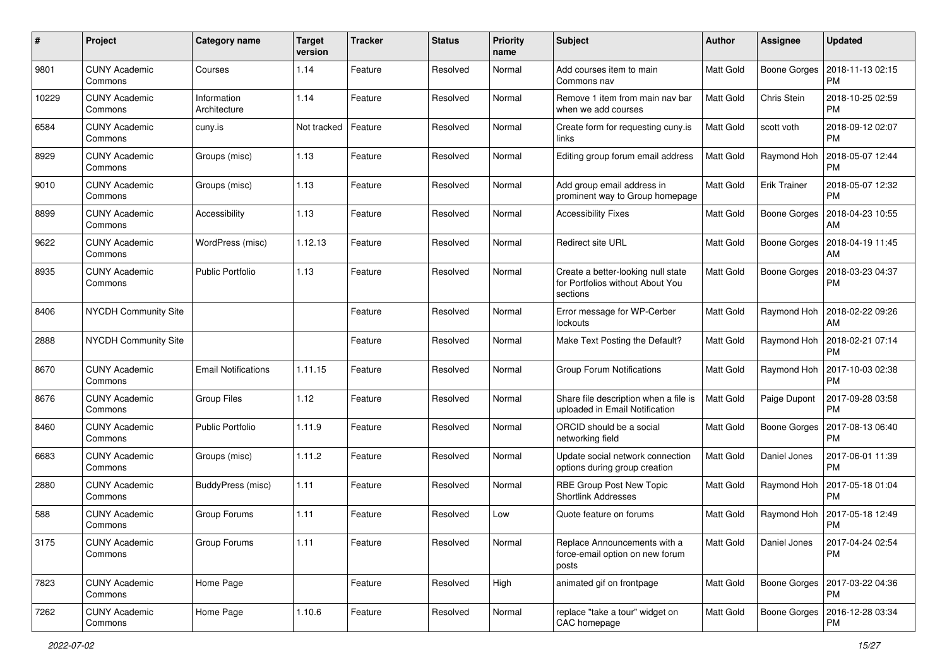| $\#$  | Project                         | <b>Category name</b>        | <b>Target</b><br>version | <b>Tracker</b> | <b>Status</b> | <b>Priority</b><br>name | <b>Subject</b>                                                                     | <b>Author</b>    | <b>Assignee</b>     | <b>Updated</b>                               |
|-------|---------------------------------|-----------------------------|--------------------------|----------------|---------------|-------------------------|------------------------------------------------------------------------------------|------------------|---------------------|----------------------------------------------|
| 9801  | <b>CUNY Academic</b><br>Commons | Courses                     | 1.14                     | Feature        | Resolved      | Normal                  | Add courses item to main<br>Commons nav                                            | Matt Gold        | Boone Gorges        | 2018-11-13 02:15<br><b>PM</b>                |
| 10229 | <b>CUNY Academic</b><br>Commons | Information<br>Architecture | 1.14                     | Feature        | Resolved      | Normal                  | Remove 1 item from main nav bar<br>when we add courses                             | <b>Matt Gold</b> | Chris Stein         | 2018-10-25 02:59<br><b>PM</b>                |
| 6584  | <b>CUNY Academic</b><br>Commons | cuny.is                     | Not tracked              | Feature        | Resolved      | Normal                  | Create form for requesting cuny.is<br>links                                        | <b>Matt Gold</b> | scott voth          | 2018-09-12 02:07<br><b>PM</b>                |
| 8929  | <b>CUNY Academic</b><br>Commons | Groups (misc)               | 1.13                     | Feature        | Resolved      | Normal                  | Editing group forum email address                                                  | <b>Matt Gold</b> | Raymond Hoh         | 2018-05-07 12:44<br><b>PM</b>                |
| 9010  | <b>CUNY Academic</b><br>Commons | Groups (misc)               | 1.13                     | Feature        | Resolved      | Normal                  | Add group email address in<br>prominent way to Group homepage                      | <b>Matt Gold</b> | <b>Erik Trainer</b> | 2018-05-07 12:32<br>l PM                     |
| 8899  | <b>CUNY Academic</b><br>Commons | Accessibility               | 1.13                     | Feature        | Resolved      | Normal                  | <b>Accessibility Fixes</b>                                                         | Matt Gold        | Boone Gorges        | 2018-04-23 10:55<br>AM                       |
| 9622  | <b>CUNY Academic</b><br>Commons | WordPress (misc)            | 1.12.13                  | Feature        | Resolved      | Normal                  | <b>Redirect site URL</b>                                                           | <b>Matt Gold</b> | Boone Gorges        | 2018-04-19 11:45<br>AM                       |
| 8935  | <b>CUNY Academic</b><br>Commons | <b>Public Portfolio</b>     | 1.13                     | Feature        | Resolved      | Normal                  | Create a better-looking null state<br>for Portfolios without About You<br>sections | <b>Matt Gold</b> | <b>Boone Gorges</b> | 2018-03-23 04:37<br><b>PM</b>                |
| 8406  | <b>NYCDH Community Site</b>     |                             |                          | Feature        | Resolved      | Normal                  | Error message for WP-Cerber<br>lockouts                                            | <b>Matt Gold</b> | Raymond Hoh         | 2018-02-22 09:26<br>AM                       |
| 2888  | <b>NYCDH Community Site</b>     |                             |                          | Feature        | Resolved      | Normal                  | Make Text Posting the Default?                                                     | <b>Matt Gold</b> | Raymond Hoh         | 2018-02-21 07:14<br>PM                       |
| 8670  | <b>CUNY Academic</b><br>Commons | <b>Email Notifications</b>  | 1.11.15                  | Feature        | Resolved      | Normal                  | Group Forum Notifications                                                          | Matt Gold        | Raymond Hoh         | 2017-10-03 02:38<br>PM                       |
| 8676  | <b>CUNY Academic</b><br>Commons | Group Files                 | 1.12                     | Feature        | Resolved      | Normal                  | Share file description when a file is<br>uploaded in Email Notification            | <b>Matt Gold</b> | Paige Dupont        | 2017-09-28 03:58<br><b>PM</b>                |
| 8460  | <b>CUNY Academic</b><br>Commons | <b>Public Portfolio</b>     | 1.11.9                   | Feature        | Resolved      | Normal                  | ORCID should be a social<br>networking field                                       | <b>Matt Gold</b> | Boone Gorges        | 2017-08-13 06:40<br><b>PM</b>                |
| 6683  | <b>CUNY Academic</b><br>Commons | Groups (misc)               | 1.11.2                   | Feature        | Resolved      | Normal                  | Update social network connection<br>options during group creation                  | <b>Matt Gold</b> | Daniel Jones        | 2017-06-01 11:39<br><b>PM</b>                |
| 2880  | <b>CUNY Academic</b><br>Commons | BuddyPress (misc)           | 1.11                     | Feature        | Resolved      | Normal                  | RBE Group Post New Topic<br><b>Shortlink Addresses</b>                             | Matt Gold        | Raymond Hoh         | 2017-05-18 01:04<br><b>PM</b>                |
| 588   | <b>CUNY Academic</b><br>Commons | Group Forums                | 1.11                     | Feature        | Resolved      | Low                     | Quote feature on forums                                                            | <b>Matt Gold</b> | Raymond Hoh         | 2017-05-18 12:49<br><b>PM</b>                |
| 3175  | <b>CUNY Academic</b><br>Commons | Group Forums                | 1.11                     | Feature        | Resolved      | Normal                  | Replace Announcements with a<br>force-email option on new forum<br>posts           | Matt Gold        | Daniel Jones        | 2017-04-24 02:54<br>l PM                     |
| 7823  | <b>CUNY Academic</b><br>Commons | Home Page                   |                          | Feature        | Resolved      | High                    | animated gif on frontpage                                                          | Matt Gold        |                     | Boone Gorges   2017-03-22 04:36<br><b>PM</b> |
| 7262  | <b>CUNY Academic</b><br>Commons | Home Page                   | 1.10.6                   | Feature        | Resolved      | Normal                  | replace "take a tour" widget on<br>CAC homepage                                    | Matt Gold        |                     | Boone Gorges   2016-12-28 03:34<br><b>PM</b> |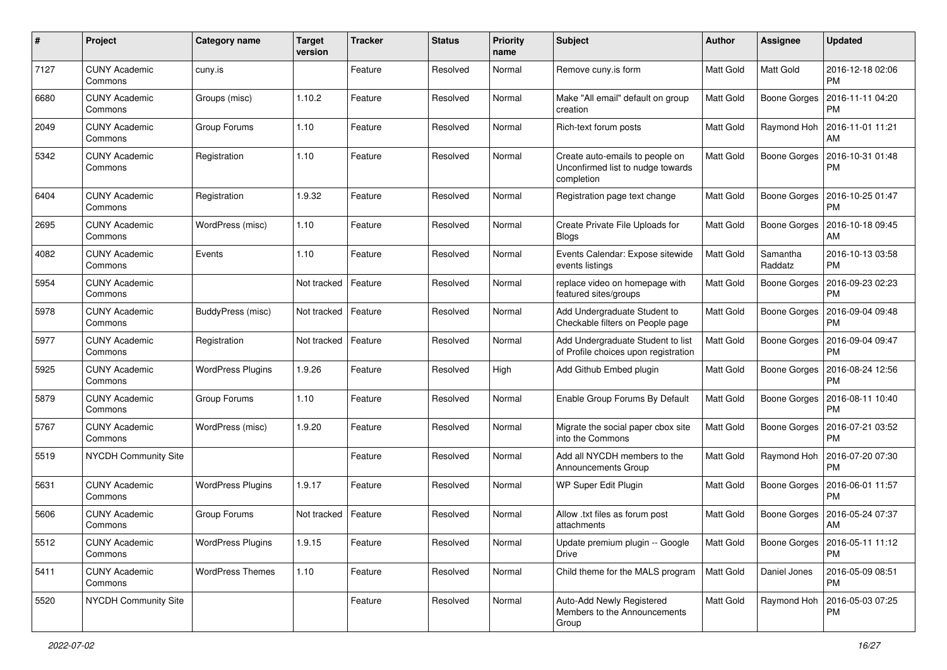| $\#$ | Project                         | <b>Category name</b>     | <b>Target</b><br>version | <b>Tracker</b> | <b>Status</b> | <b>Priority</b><br>name | <b>Subject</b>                                                                     | Author           | <b>Assignee</b>     | <b>Updated</b>                        |
|------|---------------------------------|--------------------------|--------------------------|----------------|---------------|-------------------------|------------------------------------------------------------------------------------|------------------|---------------------|---------------------------------------|
| 7127 | <b>CUNY Academic</b><br>Commons | cuny.is                  |                          | Feature        | Resolved      | Normal                  | Remove cuny.is form                                                                | <b>Matt Gold</b> | Matt Gold           | 2016-12-18 02:06<br><b>PM</b>         |
| 6680 | <b>CUNY Academic</b><br>Commons | Groups (misc)            | 1.10.2                   | Feature        | Resolved      | Normal                  | Make "All email" default on group<br>creation                                      | <b>Matt Gold</b> | Boone Gorges        | 2016-11-11 04:20<br><b>PM</b>         |
| 2049 | <b>CUNY Academic</b><br>Commons | Group Forums             | 1.10                     | Feature        | Resolved      | Normal                  | Rich-text forum posts                                                              | Matt Gold        | Raymond Hoh         | 2016-11-01 11:21<br>AM                |
| 5342 | <b>CUNY Academic</b><br>Commons | Registration             | 1.10                     | Feature        | Resolved      | Normal                  | Create auto-emails to people on<br>Unconfirmed list to nudge towards<br>completion | <b>Matt Gold</b> | <b>Boone Gorges</b> | 2016-10-31 01:48<br><b>PM</b>         |
| 6404 | <b>CUNY Academic</b><br>Commons | Registration             | 1.9.32                   | Feature        | Resolved      | Normal                  | Registration page text change                                                      | Matt Gold        | <b>Boone Gorges</b> | 2016-10-25 01:47<br><b>PM</b>         |
| 2695 | <b>CUNY Academic</b><br>Commons | WordPress (misc)         | 1.10                     | Feature        | Resolved      | Normal                  | Create Private File Uploads for<br>Blogs                                           | <b>Matt Gold</b> | <b>Boone Gorges</b> | 2016-10-18 09:45<br>AM                |
| 4082 | <b>CUNY Academic</b><br>Commons | Events                   | 1.10                     | Feature        | Resolved      | Normal                  | Events Calendar: Expose sitewide<br>events listings                                | Matt Gold        | Samantha<br>Raddatz | 2016-10-13 03:58<br>PM                |
| 5954 | <b>CUNY Academic</b><br>Commons |                          | Not tracked              | Feature        | Resolved      | Normal                  | replace video on homepage with<br>featured sites/groups                            | Matt Gold        | Boone Gorges        | 2016-09-23 02:23<br><b>PM</b>         |
| 5978 | <b>CUNY Academic</b><br>Commons | BuddyPress (misc)        | Not tracked              | Feature        | Resolved      | Normal                  | Add Undergraduate Student to<br>Checkable filters on People page                   | <b>Matt Gold</b> | <b>Boone Gorges</b> | 2016-09-04 09:48<br><b>PM</b>         |
| 5977 | <b>CUNY Academic</b><br>Commons | Registration             | Not tracked              | Feature        | Resolved      | Normal                  | Add Undergraduate Student to list<br>of Profile choices upon registration          | <b>Matt Gold</b> | Boone Gorges        | 2016-09-04 09:47<br><b>PM</b>         |
| 5925 | <b>CUNY Academic</b><br>Commons | <b>WordPress Plugins</b> | 1.9.26                   | Feature        | Resolved      | High                    | Add Github Embed plugin                                                            | Matt Gold        | Boone Gorges        | 2016-08-24 12:56<br><b>PM</b>         |
| 5879 | <b>CUNY Academic</b><br>Commons | Group Forums             | 1.10                     | Feature        | Resolved      | Normal                  | Enable Group Forums By Default                                                     | <b>Matt Gold</b> | <b>Boone Gorges</b> | 2016-08-11 10:40<br><b>PM</b>         |
| 5767 | <b>CUNY Academic</b><br>Commons | WordPress (misc)         | 1.9.20                   | Feature        | Resolved      | Normal                  | Migrate the social paper cbox site<br>into the Commons                             | Matt Gold        | Boone Gorges        | 2016-07-21 03:52<br><b>PM</b>         |
| 5519 | NYCDH Community Site            |                          |                          | Feature        | Resolved      | Normal                  | Add all NYCDH members to the<br><b>Announcements Group</b>                         | Matt Gold        | Raymond Hoh         | 2016-07-20 07:30<br>PM                |
| 5631 | <b>CUNY Academic</b><br>Commons | <b>WordPress Plugins</b> | 1.9.17                   | Feature        | Resolved      | Normal                  | WP Super Edit Plugin                                                               | Matt Gold        | Boone Gorges        | 2016-06-01 11:57<br><b>PM</b>         |
| 5606 | <b>CUNY Academic</b><br>Commons | Group Forums             | Not tracked              | Feature        | Resolved      | Normal                  | Allow .txt files as forum post<br>attachments                                      | <b>Matt Gold</b> | <b>Boone Gorges</b> | 2016-05-24 07:37<br>AM                |
| 5512 | <b>CUNY Academic</b><br>Commons | <b>WordPress Plugins</b> | 1.9.15                   | Feature        | Resolved      | Normal                  | Update premium plugin -- Google<br>Drive                                           | Matt Gold        |                     | Boone Gorges   2016-05-11 11:12<br>PM |
| 5411 | <b>CUNY Academic</b><br>Commons | <b>WordPress Themes</b>  | 1.10                     | Feature        | Resolved      | Normal                  | Child theme for the MALS program                                                   | Matt Gold        | Daniel Jones        | 2016-05-09 08:51<br>PM                |
| 5520 | NYCDH Community Site            |                          |                          | Feature        | Resolved      | Normal                  | Auto-Add Newly Registered<br>Members to the Announcements<br>Group                 | Matt Gold        | Raymond Hoh         | 2016-05-03 07:25<br>PM                |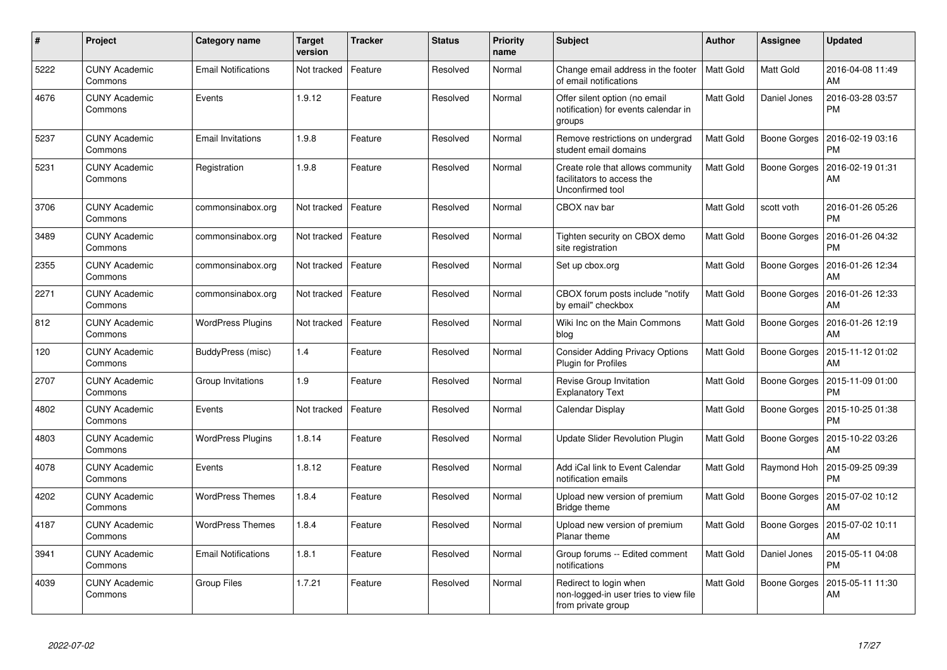| $\#$ | Project                         | Category name              | <b>Target</b><br>version | <b>Tracker</b> | <b>Status</b> | <b>Priority</b><br>name | <b>Subject</b>                                                                        | <b>Author</b> | Assignee     | <b>Updated</b>                        |
|------|---------------------------------|----------------------------|--------------------------|----------------|---------------|-------------------------|---------------------------------------------------------------------------------------|---------------|--------------|---------------------------------------|
| 5222 | <b>CUNY Academic</b><br>Commons | <b>Email Notifications</b> | Not tracked              | Feature        | Resolved      | Normal                  | Change email address in the footer<br>of email notifications                          | Matt Gold     | Matt Gold    | 2016-04-08 11:49<br>AM                |
| 4676 | <b>CUNY Academic</b><br>Commons | Events                     | 1.9.12                   | Feature        | Resolved      | Normal                  | Offer silent option (no email<br>notification) for events calendar in<br>groups       | Matt Gold     | Daniel Jones | 2016-03-28 03:57<br><b>PM</b>         |
| 5237 | <b>CUNY Academic</b><br>Commons | <b>Email Invitations</b>   | 1.9.8                    | Feature        | Resolved      | Normal                  | Remove restrictions on undergrad<br>student email domains                             | Matt Gold     | Boone Gorges | 2016-02-19 03:16<br><b>PM</b>         |
| 5231 | <b>CUNY Academic</b><br>Commons | Registration               | 1.9.8                    | Feature        | Resolved      | Normal                  | Create role that allows community<br>facilitators to access the<br>Unconfirmed tool   | Matt Gold     | Boone Gorges | 2016-02-19 01:31<br>AM                |
| 3706 | <b>CUNY Academic</b><br>Commons | commonsinabox.org          | Not tracked              | Feature        | Resolved      | Normal                  | CBOX nav bar                                                                          | Matt Gold     | scott voth   | 2016-01-26 05:26<br><b>PM</b>         |
| 3489 | <b>CUNY Academic</b><br>Commons | commonsinabox.org          | Not tracked              | Feature        | Resolved      | Normal                  | Tighten security on CBOX demo<br>site registration                                    | Matt Gold     | Boone Gorges | 2016-01-26 04:32<br><b>PM</b>         |
| 2355 | <b>CUNY Academic</b><br>Commons | commonsinabox.org          | Not tracked              | Feature        | Resolved      | Normal                  | Set up cbox.org                                                                       | Matt Gold     | Boone Gorges | 2016-01-26 12:34<br>AM                |
| 2271 | <b>CUNY Academic</b><br>Commons | commonsinabox.org          | Not tracked              | Feature        | Resolved      | Normal                  | CBOX forum posts include "notify<br>by email" checkbox                                | Matt Gold     | Boone Gorges | 2016-01-26 12:33<br>AM                |
| 812  | <b>CUNY Academic</b><br>Commons | <b>WordPress Plugins</b>   | Not tracked              | Feature        | Resolved      | Normal                  | Wiki Inc on the Main Commons<br>blog                                                  | Matt Gold     | Boone Gorges | 2016-01-26 12:19<br>AM                |
| 120  | <b>CUNY Academic</b><br>Commons | BuddyPress (misc)          | 1.4                      | Feature        | Resolved      | Normal                  | <b>Consider Adding Privacy Options</b><br><b>Plugin for Profiles</b>                  | Matt Gold     |              | Boone Gorges   2015-11-12 01:02<br>AM |
| 2707 | <b>CUNY Academic</b><br>Commons | Group Invitations          | 1.9                      | Feature        | Resolved      | Normal                  | Revise Group Invitation<br><b>Explanatory Text</b>                                    | Matt Gold     | Boone Gorges | 2015-11-09 01:00<br><b>PM</b>         |
| 4802 | <b>CUNY Academic</b><br>Commons | Events                     | Not tracked              | Feature        | Resolved      | Normal                  | Calendar Display                                                                      | Matt Gold     | Boone Gorges | 2015-10-25 01:38<br><b>PM</b>         |
| 4803 | <b>CUNY Academic</b><br>Commons | <b>WordPress Plugins</b>   | 1.8.14                   | Feature        | Resolved      | Normal                  | <b>Update Slider Revolution Plugin</b>                                                | Matt Gold     | Boone Gorges | 2015-10-22 03:26<br>AM                |
| 4078 | <b>CUNY Academic</b><br>Commons | Events                     | 1.8.12                   | Feature        | Resolved      | Normal                  | Add iCal link to Event Calendar<br>notification emails                                | Matt Gold     | Raymond Hoh  | 2015-09-25 09:39<br><b>PM</b>         |
| 4202 | <b>CUNY Academic</b><br>Commons | <b>WordPress Themes</b>    | 1.8.4                    | Feature        | Resolved      | Normal                  | Upload new version of premium<br>Bridge theme                                         | Matt Gold     | Boone Gorges | 2015-07-02 10:12<br>AM                |
| 4187 | <b>CUNY Academic</b><br>Commons | <b>WordPress Themes</b>    | 1.8.4                    | Feature        | Resolved      | Normal                  | Upload new version of premium<br>Planar theme                                         | Matt Gold     | Boone Gorges | 2015-07-02 10:11<br>AM                |
| 3941 | <b>CUNY Academic</b><br>Commons | <b>Email Notifications</b> | 1.8.1                    | Feature        | Resolved      | Normal                  | Group forums -- Edited comment<br>notifications                                       | Matt Gold     | Daniel Jones | 2015-05-11 04:08<br><b>PM</b>         |
| 4039 | <b>CUNY Academic</b><br>Commons | Group Files                | 1.7.21                   | Feature        | Resolved      | Normal                  | Redirect to login when<br>non-logged-in user tries to view file<br>from private group | Matt Gold     | Boone Gorges | 2015-05-11 11:30<br>AM                |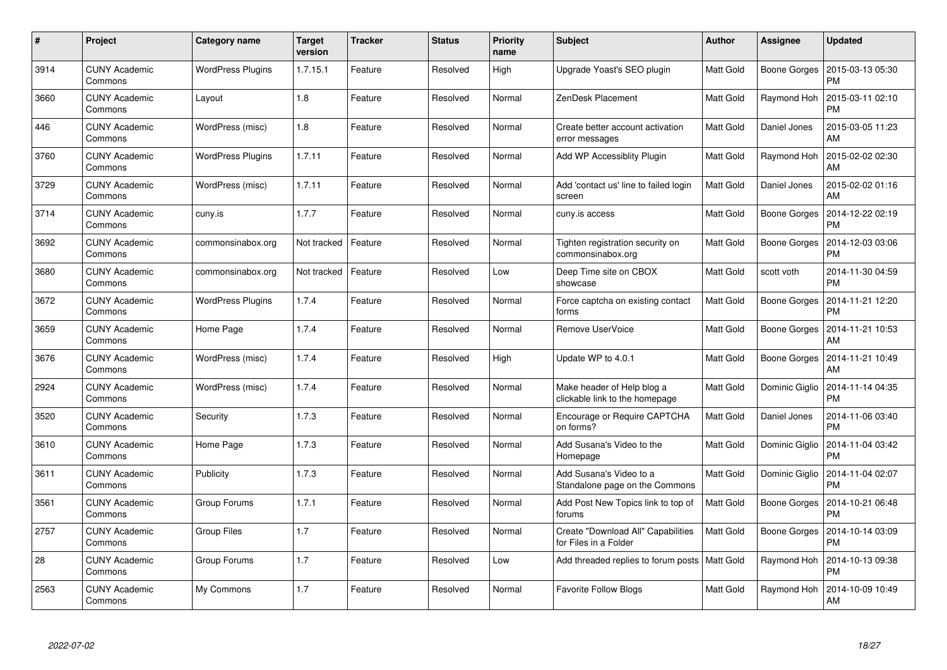| #    | Project                         | <b>Category name</b>     | <b>Target</b><br>version | <b>Tracker</b> | <b>Status</b> | <b>Priority</b><br>name | <b>Subject</b>                                               | Author           | <b>Assignee</b>     | <b>Updated</b>                               |
|------|---------------------------------|--------------------------|--------------------------|----------------|---------------|-------------------------|--------------------------------------------------------------|------------------|---------------------|----------------------------------------------|
| 3914 | <b>CUNY Academic</b><br>Commons | <b>WordPress Plugins</b> | 1.7.15.1                 | Feature        | Resolved      | High                    | Upgrade Yoast's SEO plugin                                   | <b>Matt Gold</b> | Boone Gorges        | 2015-03-13 05:30<br><b>PM</b>                |
| 3660 | CUNY Academic<br>Commons        | Layout                   | 1.8                      | Feature        | Resolved      | Normal                  | ZenDesk Placement                                            | Matt Gold        | Raymond Hoh         | 2015-03-11 02:10<br><b>PM</b>                |
| 446  | <b>CUNY Academic</b><br>Commons | WordPress (misc)         | 1.8                      | Feature        | Resolved      | Normal                  | Create better account activation<br>error messages           | <b>Matt Gold</b> | Daniel Jones        | 2015-03-05 11:23<br>AM                       |
| 3760 | CUNY Academic<br>Commons        | <b>WordPress Plugins</b> | 1.7.11                   | Feature        | Resolved      | Normal                  | Add WP Accessiblity Plugin                                   | Matt Gold        | Raymond Hoh         | 2015-02-02 02:30<br>AM                       |
| 3729 | <b>CUNY Academic</b><br>Commons | WordPress (misc)         | 1.7.11                   | Feature        | Resolved      | Normal                  | Add 'contact us' line to failed login<br>screen              | Matt Gold        | Daniel Jones        | 2015-02-02 01:16<br>AM                       |
| 3714 | <b>CUNY Academic</b><br>Commons | cuny.is                  | 1.7.7                    | Feature        | Resolved      | Normal                  | cuny.is access                                               | Matt Gold        | Boone Gorges        | 2014-12-22 02:19<br><b>PM</b>                |
| 3692 | <b>CUNY Academic</b><br>Commons | commonsinabox.org        | Not tracked              | Feature        | Resolved      | Normal                  | Tighten registration security on<br>commonsinabox.org        | Matt Gold        | Boone Gorges        | 2014-12-03 03:06<br><b>PM</b>                |
| 3680 | <b>CUNY Academic</b><br>Commons | commonsinabox.org        | Not tracked              | Feature        | Resolved      | Low                     | Deep Time site on CBOX<br>showcase                           | Matt Gold        | scott voth          | 2014-11-30 04:59<br><b>PM</b>                |
| 3672 | <b>CUNY Academic</b><br>Commons | <b>WordPress Plugins</b> | 1.7.4                    | Feature        | Resolved      | Normal                  | Force captcha on existing contact<br>forms                   | Matt Gold        | Boone Gorges        | 2014-11-21 12:20<br><b>PM</b>                |
| 3659 | <b>CUNY Academic</b><br>Commons | Home Page                | 1.7.4                    | Feature        | Resolved      | Normal                  | Remove UserVoice                                             | Matt Gold        | Boone Gorges        | 2014-11-21 10:53<br>AM                       |
| 3676 | <b>CUNY Academic</b><br>Commons | WordPress (misc)         | 1.7.4                    | Feature        | Resolved      | High                    | Update WP to 4.0.1                                           | Matt Gold        | <b>Boone Gorges</b> | 2014-11-21 10:49<br>AM                       |
| 2924 | <b>CUNY Academic</b><br>Commons | WordPress (misc)         | 1.7.4                    | Feature        | Resolved      | Normal                  | Make header of Help blog a<br>clickable link to the homepage | Matt Gold        | Dominic Giglio      | 2014-11-14 04:35<br><b>PM</b>                |
| 3520 | <b>CUNY Academic</b><br>Commons | Security                 | 1.7.3                    | Feature        | Resolved      | Normal                  | Encourage or Require CAPTCHA<br>on forms?                    | Matt Gold        | Daniel Jones        | 2014-11-06 03:40<br><b>PM</b>                |
| 3610 | <b>CUNY Academic</b><br>Commons | Home Page                | 1.7.3                    | Feature        | Resolved      | Normal                  | Add Susana's Video to the<br>Homepage                        | Matt Gold        | Dominic Giglio      | 2014-11-04 03:42<br><b>PM</b>                |
| 3611 | <b>CUNY Academic</b><br>Commons | Publicity                | 1.7.3                    | Feature        | Resolved      | Normal                  | Add Susana's Video to a<br>Standalone page on the Commons    | Matt Gold        | Dominic Giglio      | 2014-11-04 02:07<br><b>PM</b>                |
| 3561 | <b>CUNY Academic</b><br>Commons | Group Forums             | 1.7.1                    | Feature        | Resolved      | Normal                  | Add Post New Topics link to top of<br>forums                 | <b>Matt Gold</b> |                     | Boone Gorges   2014-10-21 06:48<br><b>PM</b> |
| 2757 | <b>CUNY Academic</b><br>Commons | Group Files              | 1.7                      | Feature        | Resolved      | Normal                  | Create "Download All" Capabilities<br>for Files in a Folder  | Matt Gold        | Boone Gorges        | 2014-10-14 03:09<br><b>PM</b>                |
| 28   | <b>CUNY Academic</b><br>Commons | Group Forums             | 1.7                      | Feature        | Resolved      | Low                     | Add threaded replies to forum posts   Matt Gold              |                  | Raymond Hoh         | 2014-10-13 09:38<br><b>PM</b>                |
| 2563 | CUNY Academic<br>Commons        | My Commons               | 1.7                      | Feature        | Resolved      | Normal                  | <b>Favorite Follow Blogs</b>                                 | Matt Gold        | Raymond Hoh         | 2014-10-09 10:49<br>AM                       |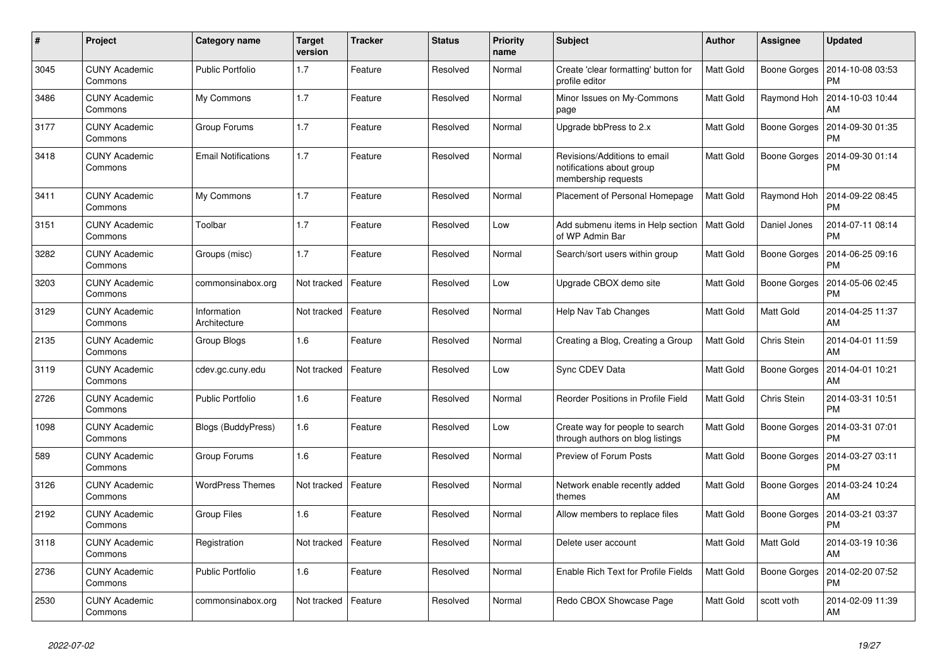| $\pmb{\#}$ | Project                         | Category name               | <b>Target</b><br>version | <b>Tracker</b> | <b>Status</b> | <b>Priority</b><br>name | <b>Subject</b>                                                                   | <b>Author</b>    | Assignee     | <b>Updated</b>                |
|------------|---------------------------------|-----------------------------|--------------------------|----------------|---------------|-------------------------|----------------------------------------------------------------------------------|------------------|--------------|-------------------------------|
| 3045       | <b>CUNY Academic</b><br>Commons | <b>Public Portfolio</b>     | 1.7                      | Feature        | Resolved      | Normal                  | Create 'clear formatting' button for<br>profile editor                           | <b>Matt Gold</b> | Boone Gorges | 2014-10-08 03:53<br><b>PM</b> |
| 3486       | <b>CUNY Academic</b><br>Commons | My Commons                  | 1.7                      | Feature        | Resolved      | Normal                  | Minor Issues on My-Commons<br>page                                               | Matt Gold        | Raymond Hoh  | 2014-10-03 10:44<br>AM        |
| 3177       | <b>CUNY Academic</b><br>Commons | Group Forums                | 1.7                      | Feature        | Resolved      | Normal                  | Upgrade bbPress to 2.x                                                           | Matt Gold        | Boone Gorges | 2014-09-30 01:35<br><b>PM</b> |
| 3418       | <b>CUNY Academic</b><br>Commons | <b>Email Notifications</b>  | 1.7                      | Feature        | Resolved      | Normal                  | Revisions/Additions to email<br>notifications about group<br>membership requests | Matt Gold        | Boone Gorges | 2014-09-30 01:14<br><b>PM</b> |
| 3411       | <b>CUNY Academic</b><br>Commons | My Commons                  | 1.7                      | Feature        | Resolved      | Normal                  | Placement of Personal Homepage                                                   | Matt Gold        | Raymond Hoh  | 2014-09-22 08:45<br><b>PM</b> |
| 3151       | <b>CUNY Academic</b><br>Commons | Toolbar                     | 1.7                      | Feature        | Resolved      | Low                     | Add submenu items in Help section<br>of WP Admin Bar                             | Matt Gold        | Daniel Jones | 2014-07-11 08:14<br><b>PM</b> |
| 3282       | <b>CUNY Academic</b><br>Commons | Groups (misc)               | 1.7                      | Feature        | Resolved      | Normal                  | Search/sort users within group                                                   | Matt Gold        | Boone Gorges | 2014-06-25 09:16<br><b>PM</b> |
| 3203       | <b>CUNY Academic</b><br>Commons | commonsinabox.org           | Not tracked              | Feature        | Resolved      | Low                     | Upgrade CBOX demo site                                                           | Matt Gold        | Boone Gorges | 2014-05-06 02:45<br><b>PM</b> |
| 3129       | <b>CUNY Academic</b><br>Commons | Information<br>Architecture | Not tracked              | Feature        | Resolved      | Normal                  | Help Nav Tab Changes                                                             | Matt Gold        | Matt Gold    | 2014-04-25 11:37<br>AM        |
| 2135       | <b>CUNY Academic</b><br>Commons | Group Blogs                 | 1.6                      | Feature        | Resolved      | Normal                  | Creating a Blog, Creating a Group                                                | Matt Gold        | Chris Stein  | 2014-04-01 11:59<br>AM        |
| 3119       | <b>CUNY Academic</b><br>Commons | cdev.gc.cuny.edu            | Not tracked              | Feature        | Resolved      | Low                     | Sync CDEV Data                                                                   | Matt Gold        | Boone Gorges | 2014-04-01 10:21<br>AM        |
| 2726       | <b>CUNY Academic</b><br>Commons | <b>Public Portfolio</b>     | 1.6                      | Feature        | Resolved      | Normal                  | <b>Reorder Positions in Profile Field</b>                                        | Matt Gold        | Chris Stein  | 2014-03-31 10:51<br><b>PM</b> |
| 1098       | <b>CUNY Academic</b><br>Commons | Blogs (BuddyPress)          | 1.6                      | Feature        | Resolved      | Low                     | Create way for people to search<br>through authors on blog listings              | Matt Gold        | Boone Gorges | 2014-03-31 07:01<br><b>PM</b> |
| 589        | <b>CUNY Academic</b><br>Commons | Group Forums                | 1.6                      | Feature        | Resolved      | Normal                  | <b>Preview of Forum Posts</b>                                                    | Matt Gold        | Boone Gorges | 2014-03-27 03:11<br><b>PM</b> |
| 3126       | <b>CUNY Academic</b><br>Commons | <b>WordPress Themes</b>     | Not tracked              | Feature        | Resolved      | Normal                  | Network enable recently added<br>themes                                          | Matt Gold        | Boone Gorges | 2014-03-24 10:24<br>AM        |
| 2192       | <b>CUNY Academic</b><br>Commons | <b>Group Files</b>          | 1.6                      | Feature        | Resolved      | Normal                  | Allow members to replace files                                                   | Matt Gold        | Boone Gorges | 2014-03-21 03:37<br><b>PM</b> |
| 3118       | <b>CUNY Academic</b><br>Commons | Registration                | Not tracked              | Feature        | Resolved      | Normal                  | Delete user account                                                              | Matt Gold        | Matt Gold    | 2014-03-19 10:36<br>AM        |
| 2736       | <b>CUNY Academic</b><br>Commons | <b>Public Portfolio</b>     | 1.6                      | Feature        | Resolved      | Normal                  | Enable Rich Text for Profile Fields                                              | Matt Gold        | Boone Gorges | 2014-02-20 07:52<br><b>PM</b> |
| 2530       | <b>CUNY Academic</b><br>Commons | commonsinabox.org           | Not tracked              | Feature        | Resolved      | Normal                  | Redo CBOX Showcase Page                                                          | Matt Gold        | scott voth   | 2014-02-09 11:39<br>AM        |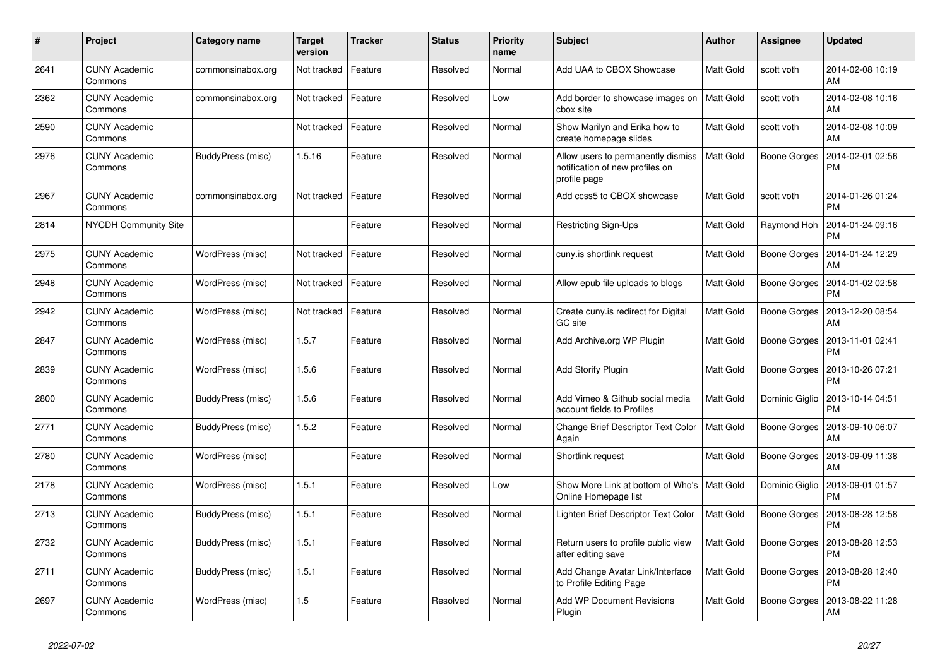| $\#$ | Project                         | Category name     | <b>Target</b><br>version | <b>Tracker</b> | <b>Status</b> | <b>Priority</b><br>name | <b>Subject</b>                                                                        | <b>Author</b>    | Assignee            | <b>Updated</b>                |
|------|---------------------------------|-------------------|--------------------------|----------------|---------------|-------------------------|---------------------------------------------------------------------------------------|------------------|---------------------|-------------------------------|
| 2641 | <b>CUNY Academic</b><br>Commons | commonsinabox.org | Not tracked              | Feature        | Resolved      | Normal                  | Add UAA to CBOX Showcase                                                              | <b>Matt Gold</b> | scott voth          | 2014-02-08 10:19<br>AM        |
| 2362 | <b>CUNY Academic</b><br>Commons | commonsinabox.org | Not tracked              | Feature        | Resolved      | Low                     | Add border to showcase images on<br>cbox site                                         | Matt Gold        | scott voth          | 2014-02-08 10:16<br>AM        |
| 2590 | <b>CUNY Academic</b><br>Commons |                   | Not tracked              | Feature        | Resolved      | Normal                  | Show Marilyn and Erika how to<br>create homepage slides                               | Matt Gold        | scott voth          | 2014-02-08 10:09<br>AM        |
| 2976 | <b>CUNY Academic</b><br>Commons | BuddyPress (misc) | 1.5.16                   | Feature        | Resolved      | Normal                  | Allow users to permanently dismiss<br>notification of new profiles on<br>profile page | Matt Gold        | Boone Gorges        | 2014-02-01 02:56<br><b>PM</b> |
| 2967 | <b>CUNY Academic</b><br>Commons | commonsinabox.org | Not tracked              | Feature        | Resolved      | Normal                  | Add ccss5 to CBOX showcase                                                            | Matt Gold        | scott voth          | 2014-01-26 01:24<br><b>PM</b> |
| 2814 | NYCDH Community Site            |                   |                          | Feature        | Resolved      | Normal                  | Restricting Sign-Ups                                                                  | Matt Gold        | Raymond Hoh         | 2014-01-24 09:16<br><b>PM</b> |
| 2975 | <b>CUNY Academic</b><br>Commons | WordPress (misc)  | Not tracked              | Feature        | Resolved      | Normal                  | cuny.is shortlink request                                                             | Matt Gold        | Boone Gorges        | 2014-01-24 12:29<br>AM        |
| 2948 | <b>CUNY Academic</b><br>Commons | WordPress (misc)  | Not tracked              | Feature        | Resolved      | Normal                  | Allow epub file uploads to blogs                                                      | Matt Gold        | Boone Gorges        | 2014-01-02 02:58<br><b>PM</b> |
| 2942 | <b>CUNY Academic</b><br>Commons | WordPress (misc)  | Not tracked              | Feature        | Resolved      | Normal                  | Create cuny.is redirect for Digital<br>GC site                                        | Matt Gold        | Boone Gorges        | 2013-12-20 08:54<br>AM        |
| 2847 | <b>CUNY Academic</b><br>Commons | WordPress (misc)  | 1.5.7                    | Feature        | Resolved      | Normal                  | Add Archive.org WP Plugin                                                             | Matt Gold        | <b>Boone Gorges</b> | 2013-11-01 02:41<br><b>PM</b> |
| 2839 | <b>CUNY Academic</b><br>Commons | WordPress (misc)  | 1.5.6                    | Feature        | Resolved      | Normal                  | <b>Add Storify Plugin</b>                                                             | Matt Gold        | <b>Boone Gorges</b> | 2013-10-26 07:21<br><b>PM</b> |
| 2800 | <b>CUNY Academic</b><br>Commons | BuddyPress (misc) | 1.5.6                    | Feature        | Resolved      | Normal                  | Add Vimeo & Github social media<br>account fields to Profiles                         | Matt Gold        | Dominic Giglio      | 2013-10-14 04:51<br><b>PM</b> |
| 2771 | <b>CUNY Academic</b><br>Commons | BuddyPress (misc) | 1.5.2                    | Feature        | Resolved      | Normal                  | Change Brief Descriptor Text Color<br>Again                                           | Matt Gold        | Boone Gorges        | 2013-09-10 06:07<br>AM        |
| 2780 | <b>CUNY Academic</b><br>Commons | WordPress (misc)  |                          | Feature        | Resolved      | Normal                  | Shortlink request                                                                     | Matt Gold        | Boone Gorges        | 2013-09-09 11:38<br>AM        |
| 2178 | <b>CUNY Academic</b><br>Commons | WordPress (misc)  | 1.5.1                    | Feature        | Resolved      | Low                     | Show More Link at bottom of Who's<br>Online Homepage list                             | Matt Gold        | Dominic Giglio      | 2013-09-01 01:57<br><b>PM</b> |
| 2713 | <b>CUNY Academic</b><br>Commons | BuddyPress (misc) | 1.5.1                    | Feature        | Resolved      | Normal                  | Lighten Brief Descriptor Text Color                                                   | Matt Gold        | Boone Gorges        | 2013-08-28 12:58<br><b>PM</b> |
| 2732 | <b>CUNY Academic</b><br>Commons | BuddyPress (misc) | 1.5.1                    | Feature        | Resolved      | Normal                  | Return users to profile public view<br>after editing save                             | Matt Gold        | Boone Gorges        | 2013-08-28 12:53<br><b>PM</b> |
| 2711 | <b>CUNY Academic</b><br>Commons | BuddyPress (misc) | 1.5.1                    | Feature        | Resolved      | Normal                  | Add Change Avatar Link/Interface<br>to Profile Editing Page                           | Matt Gold        | Boone Gorges        | 2013-08-28 12:40<br><b>PM</b> |
| 2697 | <b>CUNY Academic</b><br>Commons | WordPress (misc)  | 1.5                      | Feature        | Resolved      | Normal                  | <b>Add WP Document Revisions</b><br>Plugin                                            | Matt Gold        | Boone Gorges        | 2013-08-22 11:28<br>AM        |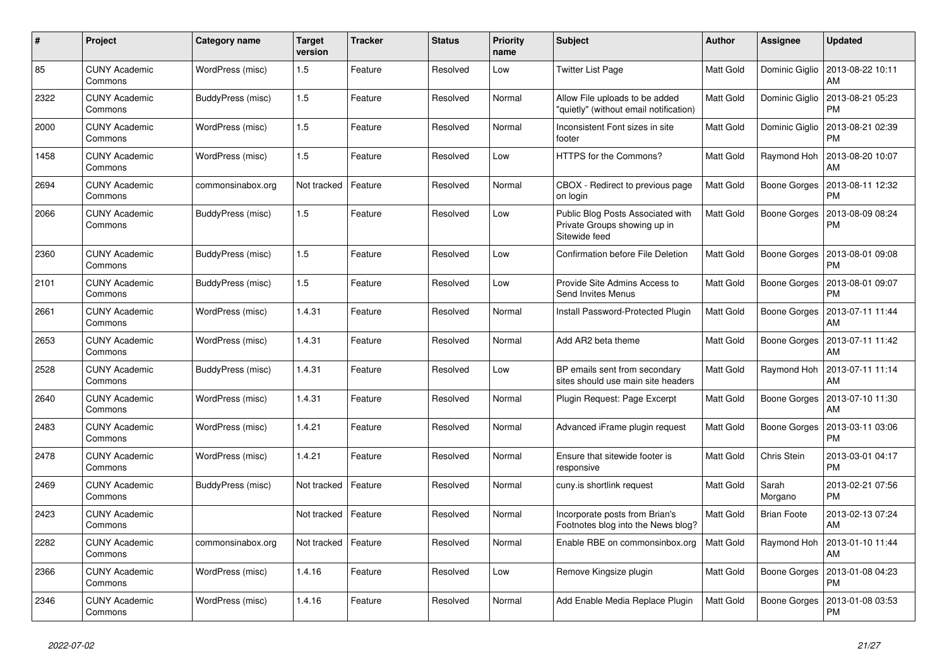| #    | Project                         | Category name     | <b>Target</b><br>version | <b>Tracker</b> | <b>Status</b> | <b>Priority</b><br>name | <b>Subject</b>                                                                     | <b>Author</b>    | Assignee            | <b>Updated</b>                          |
|------|---------------------------------|-------------------|--------------------------|----------------|---------------|-------------------------|------------------------------------------------------------------------------------|------------------|---------------------|-----------------------------------------|
| 85   | <b>CUNY Academic</b><br>Commons | WordPress (misc)  | 1.5                      | Feature        | Resolved      | Low                     | <b>Twitter List Page</b>                                                           | Matt Gold        |                     | Dominic Giglio   2013-08-22 10:11<br>AM |
| 2322 | <b>CUNY Academic</b><br>Commons | BuddyPress (misc) | 1.5                      | Feature        | Resolved      | Normal                  | Allow File uploads to be added<br>'quietly" (without email notification)           | Matt Gold        | Dominic Giglio      | 2013-08-21 05:23<br><b>PM</b>           |
| 2000 | CUNY Academic<br>Commons        | WordPress (misc)  | 1.5                      | Feature        | Resolved      | Normal                  | Inconsistent Font sizes in site<br>footer                                          | Matt Gold        | Dominic Giglio      | 2013-08-21 02:39<br><b>PM</b>           |
| 1458 | <b>CUNY Academic</b><br>Commons | WordPress (misc)  | 1.5                      | Feature        | Resolved      | Low                     | HTTPS for the Commons?                                                             | Matt Gold        | Raymond Hoh         | 2013-08-20 10:07<br>AM                  |
| 2694 | <b>CUNY Academic</b><br>Commons | commonsinabox.org | Not tracked              | Feature        | Resolved      | Normal                  | CBOX - Redirect to previous page<br>on login                                       | Matt Gold        | Boone Gorges        | 2013-08-11 12:32<br><b>PM</b>           |
| 2066 | CUNY Academic<br>Commons        | BuddyPress (misc) | 1.5                      | Feature        | Resolved      | Low                     | Public Blog Posts Associated with<br>Private Groups showing up in<br>Sitewide feed | <b>Matt Gold</b> | Boone Gorges        | 2013-08-09 08:24<br><b>PM</b>           |
| 2360 | <b>CUNY Academic</b><br>Commons | BuddyPress (misc) | 1.5                      | Feature        | Resolved      | Low                     | <b>Confirmation before File Deletion</b>                                           | <b>Matt Gold</b> | Boone Gorges        | 2013-08-01 09:08<br><b>PM</b>           |
| 2101 | <b>CUNY Academic</b><br>Commons | BuddyPress (misc) | 1.5                      | Feature        | Resolved      | Low                     | Provide Site Admins Access to<br>Send Invites Menus                                | Matt Gold        | Boone Gorges        | 2013-08-01 09:07<br><b>PM</b>           |
| 2661 | <b>CUNY Academic</b><br>Commons | WordPress (misc)  | 1.4.31                   | Feature        | Resolved      | Normal                  | Install Password-Protected Plugin                                                  | Matt Gold        | Boone Gorges        | 2013-07-11 11:44<br>AM                  |
| 2653 | <b>CUNY Academic</b><br>Commons | WordPress (misc)  | 1.4.31                   | Feature        | Resolved      | Normal                  | Add AR2 beta theme                                                                 | Matt Gold        | Boone Gorges        | 2013-07-11 11:42<br>AM                  |
| 2528 | CUNY Academic<br>Commons        | BuddyPress (misc) | 1.4.31                   | Feature        | Resolved      | Low                     | BP emails sent from secondary<br>sites should use main site headers                | Matt Gold        | Raymond Hoh         | 2013-07-11 11:14<br>AM                  |
| 2640 | <b>CUNY Academic</b><br>Commons | WordPress (misc)  | 1.4.31                   | Feature        | Resolved      | Normal                  | Plugin Request: Page Excerpt                                                       | Matt Gold        | Boone Gorges        | 2013-07-10 11:30<br>AM                  |
| 2483 | <b>CUNY Academic</b><br>Commons | WordPress (misc)  | 1.4.21                   | Feature        | Resolved      | Normal                  | Advanced iFrame plugin request                                                     | <b>Matt Gold</b> | <b>Boone Gorges</b> | 2013-03-11 03:06<br><b>PM</b>           |
| 2478 | CUNY Academic<br>Commons        | WordPress (misc)  | 1.4.21                   | Feature        | Resolved      | Normal                  | Ensure that sitewide footer is<br>responsive                                       | Matt Gold        | Chris Stein         | 2013-03-01 04:17<br><b>PM</b>           |
| 2469 | <b>CUNY Academic</b><br>Commons | BuddyPress (misc) | Not tracked              | Feature        | Resolved      | Normal                  | cuny.is shortlink request                                                          | Matt Gold        | Sarah<br>Morgano    | 2013-02-21 07:56<br><b>PM</b>           |
| 2423 | <b>CUNY Academic</b><br>Commons |                   | Not tracked              | Feature        | Resolved      | Normal                  | Incorporate posts from Brian's<br>Footnotes blog into the News blog?               | Matt Gold        | <b>Brian Foote</b>  | 2013-02-13 07:24<br>AM                  |
| 2282 | CUNY Academic<br>Commons        | commonsinabox.org | Not tracked              | Feature        | Resolved      | Normal                  | Enable RBE on commonsinbox.org                                                     | Matt Gold        | Raymond Hoh         | 2013-01-10 11:44<br>AM                  |
| 2366 | <b>CUNY Academic</b><br>Commons | WordPress (misc)  | 1.4.16                   | Feature        | Resolved      | Low                     | Remove Kingsize plugin                                                             | Matt Gold        | Boone Gorges        | 2013-01-08 04:23<br><b>PM</b>           |
| 2346 | CUNY Academic<br>Commons        | WordPress (misc)  | 1.4.16                   | Feature        | Resolved      | Normal                  | Add Enable Media Replace Plugin                                                    | <b>Matt Gold</b> | Boone Gorges        | 2013-01-08 03:53<br><b>PM</b>           |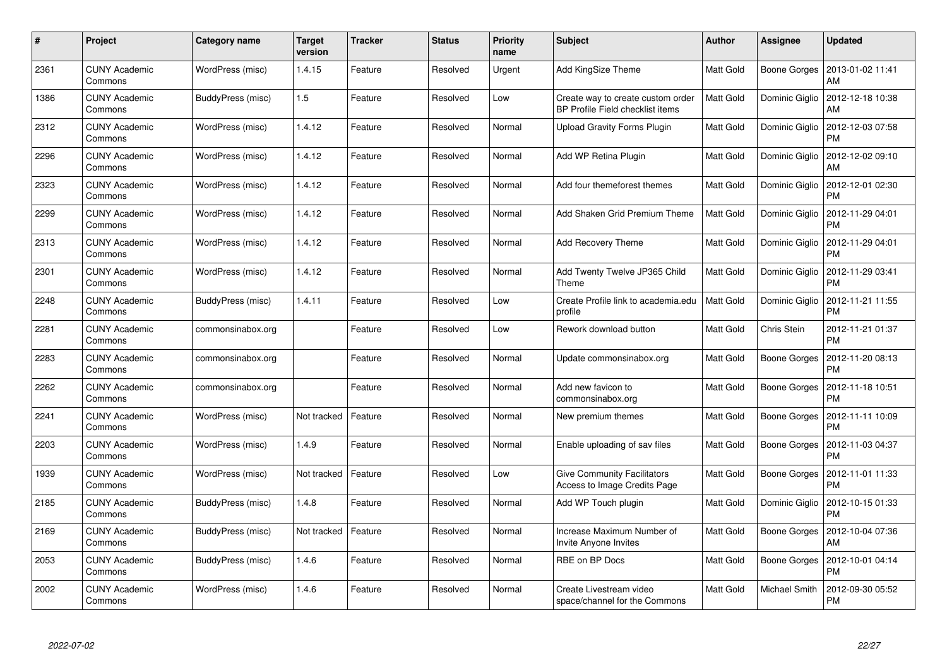| #    | Project                         | Category name     | <b>Target</b><br>version | <b>Tracker</b> | <b>Status</b> | <b>Priority</b><br>name | <b>Subject</b>                                                        | <b>Author</b>    | <b>Assignee</b>     | <b>Updated</b>                                 |
|------|---------------------------------|-------------------|--------------------------|----------------|---------------|-------------------------|-----------------------------------------------------------------------|------------------|---------------------|------------------------------------------------|
| 2361 | <b>CUNY Academic</b><br>Commons | WordPress (misc)  | 1.4.15                   | Feature        | Resolved      | Urgent                  | Add KingSize Theme                                                    | <b>Matt Gold</b> | Boone Gorges        | 2013-01-02 11:41<br>AM                         |
| 1386 | <b>CUNY Academic</b><br>Commons | BuddyPress (misc) | 1.5                      | Feature        | Resolved      | Low                     | Create way to create custom order<br>BP Profile Field checklist items | Matt Gold        | Dominic Giglio      | 2012-12-18 10:38<br>AM                         |
| 2312 | <b>CUNY Academic</b><br>Commons | WordPress (misc)  | 1.4.12                   | Feature        | Resolved      | Normal                  | <b>Upload Gravity Forms Plugin</b>                                    | Matt Gold        | Dominic Giglio      | 2012-12-03 07:58<br><b>PM</b>                  |
| 2296 | CUNY Academic<br>Commons        | WordPress (misc)  | 1.4.12                   | Feature        | Resolved      | Normal                  | Add WP Retina Plugin                                                  | <b>Matt Gold</b> | Dominic Giglio      | 2012-12-02 09:10<br>AM                         |
| 2323 | <b>CUNY Academic</b><br>Commons | WordPress (misc)  | 1.4.12                   | Feature        | Resolved      | Normal                  | Add four themeforest themes                                           | <b>Matt Gold</b> |                     | Dominic Giglio   2012-12-01 02:30<br><b>PM</b> |
| 2299 | <b>CUNY Academic</b><br>Commons | WordPress (misc)  | 1.4.12                   | Feature        | Resolved      | Normal                  | Add Shaken Grid Premium Theme                                         | Matt Gold        | Dominic Giglio      | 2012-11-29 04:01<br><b>PM</b>                  |
| 2313 | <b>CUNY Academic</b><br>Commons | WordPress (misc)  | 1.4.12                   | Feature        | Resolved      | Normal                  | <b>Add Recovery Theme</b>                                             | <b>Matt Gold</b> | Dominic Giglio      | 2012-11-29 04:01<br><b>PM</b>                  |
| 2301 | CUNY Academic<br>Commons        | WordPress (misc)  | 1.4.12                   | Feature        | Resolved      | Normal                  | Add Twenty Twelve JP365 Child<br>Theme                                | Matt Gold        |                     | Dominic Giglio   2012-11-29 03:41<br><b>PM</b> |
| 2248 | <b>CUNY Academic</b><br>Commons | BuddyPress (misc) | 1.4.11                   | Feature        | Resolved      | Low                     | Create Profile link to academia.edu<br>profile                        | <b>Matt Gold</b> | Dominic Giglio      | 2012-11-21 11:55<br><b>PM</b>                  |
| 2281 | <b>CUNY Academic</b><br>Commons | commonsinabox.org |                          | Feature        | Resolved      | Low                     | Rework download button                                                | Matt Gold        | Chris Stein         | 2012-11-21 01:37<br><b>PM</b>                  |
| 2283 | <b>CUNY Academic</b><br>Commons | commonsinabox.org |                          | Feature        | Resolved      | Normal                  | Update commonsinabox.org                                              | Matt Gold        | <b>Boone Gorges</b> | 2012-11-20 08:13<br><b>PM</b>                  |
| 2262 | <b>CUNY Academic</b><br>Commons | commonsinabox.org |                          | Feature        | Resolved      | Normal                  | Add new favicon to<br>commonsinabox.org                               | Matt Gold        | Boone Gorges        | 2012-11-18 10:51<br><b>PM</b>                  |
| 2241 | <b>CUNY Academic</b><br>Commons | WordPress (misc)  | Not tracked              | Feature        | Resolved      | Normal                  | New premium themes                                                    | Matt Gold        | Boone Gorges        | 2012-11-11 10:09<br><b>PM</b>                  |
| 2203 | <b>CUNY Academic</b><br>Commons | WordPress (misc)  | 1.4.9                    | Feature        | Resolved      | Normal                  | Enable uploading of sav files                                         | Matt Gold        | Boone Gorges        | 2012-11-03 04:37<br><b>PM</b>                  |
| 1939 | <b>CUNY Academic</b><br>Commons | WordPress (misc)  | Not tracked              | Feature        | Resolved      | Low                     | <b>Give Community Facilitators</b><br>Access to Image Credits Page    | Matt Gold        | Boone Gorges        | 2012-11-01 11:33<br><b>PM</b>                  |
| 2185 | <b>CUNY Academic</b><br>Commons | BuddyPress (misc) | 1.4.8                    | Feature        | Resolved      | Normal                  | Add WP Touch plugin                                                   | Matt Gold        |                     | Dominic Giglio   2012-10-15 01:33<br><b>PM</b> |
| 2169 | <b>CUNY Academic</b><br>Commons | BuddyPress (misc) | Not tracked              | Feature        | Resolved      | Normal                  | Increase Maximum Number of<br>Invite Anyone Invites                   | Matt Gold        | Boone Gorges        | 2012-10-04 07:36<br>AM                         |
| 2053 | CUNY Academic<br>Commons        | BuddyPress (misc) | 1.4.6                    | Feature        | Resolved      | Normal                  | RBE on BP Docs                                                        | <b>Matt Gold</b> | Boone Gorges        | 2012-10-01 04:14<br><b>PM</b>                  |
| 2002 | CUNY Academic<br>Commons        | WordPress (misc)  | 1.4.6                    | Feature        | Resolved      | Normal                  | Create Livestream video<br>space/channel for the Commons              | <b>Matt Gold</b> | Michael Smith       | 2012-09-30 05:52<br><b>PM</b>                  |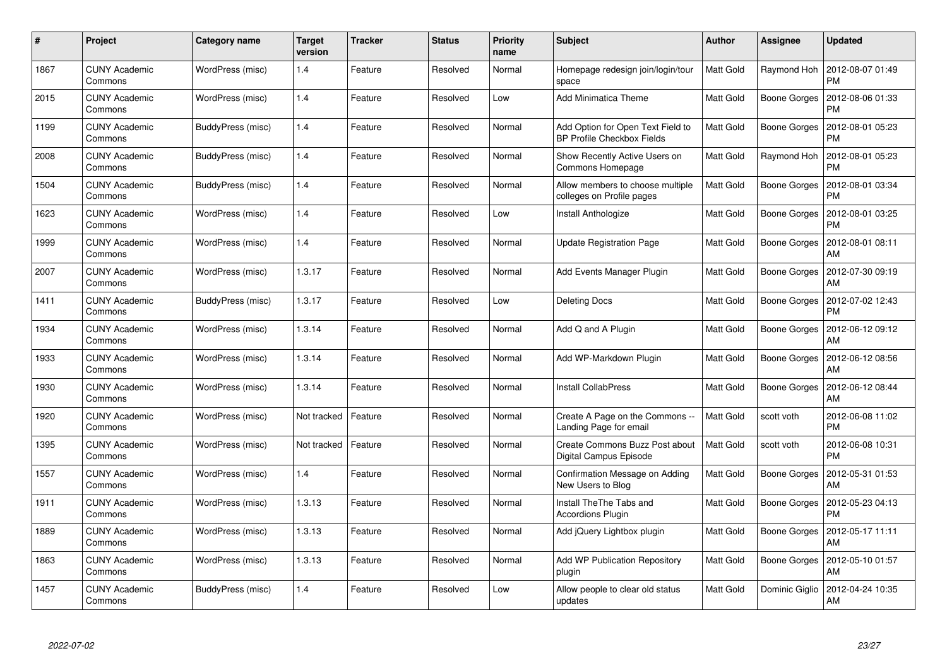| #    | <b>Project</b>                  | Category name     | <b>Target</b><br>version | <b>Tracker</b> | <b>Status</b> | <b>Priority</b><br>name | <b>Subject</b>                                                         | <b>Author</b>    | Assignee            | <b>Updated</b>                |
|------|---------------------------------|-------------------|--------------------------|----------------|---------------|-------------------------|------------------------------------------------------------------------|------------------|---------------------|-------------------------------|
| 1867 | <b>CUNY Academic</b><br>Commons | WordPress (misc)  | 1.4                      | Feature        | Resolved      | Normal                  | Homepage redesign join/login/tour<br>space                             | <b>Matt Gold</b> | Raymond Hoh         | 2012-08-07 01:49<br><b>PM</b> |
| 2015 | <b>CUNY Academic</b><br>Commons | WordPress (misc)  | 1.4                      | Feature        | Resolved      | Low                     | <b>Add Minimatica Theme</b>                                            | Matt Gold        | Boone Gorges        | 2012-08-06 01:33<br><b>PM</b> |
| 1199 | <b>CUNY Academic</b><br>Commons | BuddyPress (misc) | 1.4                      | Feature        | Resolved      | Normal                  | Add Option for Open Text Field to<br><b>BP Profile Checkbox Fields</b> | <b>Matt Gold</b> | <b>Boone Gorges</b> | 2012-08-01 05:23<br><b>PM</b> |
| 2008 | <b>CUNY Academic</b><br>Commons | BuddyPress (misc) | 1.4                      | Feature        | Resolved      | Normal                  | Show Recently Active Users on<br>Commons Homepage                      | Matt Gold        | Raymond Hoh         | 2012-08-01 05:23<br><b>PM</b> |
| 1504 | <b>CUNY Academic</b><br>Commons | BuddyPress (misc) | 1.4                      | Feature        | Resolved      | Normal                  | Allow members to choose multiple<br>colleges on Profile pages          | <b>Matt Gold</b> | <b>Boone Gorges</b> | 2012-08-01 03:34<br><b>PM</b> |
| 1623 | <b>CUNY Academic</b><br>Commons | WordPress (misc)  | 1.4                      | Feature        | Resolved      | Low                     | <b>Install Anthologize</b>                                             | Matt Gold        | Boone Gorges        | 2012-08-01 03:25<br><b>PM</b> |
| 1999 | <b>CUNY Academic</b><br>Commons | WordPress (misc)  | 1.4                      | Feature        | Resolved      | Normal                  | <b>Update Registration Page</b>                                        | Matt Gold        | Boone Gorges        | 2012-08-01 08:11<br>AM        |
| 2007 | CUNY Academic<br>Commons        | WordPress (misc)  | 1.3.17                   | Feature        | Resolved      | Normal                  | Add Events Manager Plugin                                              | Matt Gold        | <b>Boone Gorges</b> | 2012-07-30 09:19<br>AM        |
| 1411 | <b>CUNY Academic</b><br>Commons | BuddyPress (misc) | 1.3.17                   | Feature        | Resolved      | Low                     | <b>Deleting Docs</b>                                                   | Matt Gold        | Boone Gorges        | 2012-07-02 12:43<br><b>PM</b> |
| 1934 | <b>CUNY Academic</b><br>Commons | WordPress (misc)  | 1.3.14                   | Feature        | Resolved      | Normal                  | Add Q and A Plugin                                                     | Matt Gold        | Boone Gorges        | 2012-06-12 09:12<br>AM        |
| 1933 | <b>CUNY Academic</b><br>Commons | WordPress (misc)  | 1.3.14                   | Feature        | Resolved      | Normal                  | Add WP-Markdown Plugin                                                 | Matt Gold        | Boone Gorges        | 2012-06-12 08:56<br>AM        |
| 1930 | CUNY Academic<br>Commons        | WordPress (misc)  | 1.3.14                   | Feature        | Resolved      | Normal                  | <b>Install CollabPress</b>                                             | Matt Gold        | Boone Gorges        | 2012-06-12 08:44<br>AM        |
| 1920 | <b>CUNY Academic</b><br>Commons | WordPress (misc)  | Not tracked              | Feature        | Resolved      | Normal                  | Create A Page on the Commons --<br>Landing Page for email              | Matt Gold        | scott voth          | 2012-06-08 11:02<br><b>PM</b> |
| 1395 | <b>CUNY Academic</b><br>Commons | WordPress (misc)  | Not tracked              | Feature        | Resolved      | Normal                  | Create Commons Buzz Post about<br>Digital Campus Episode               | <b>Matt Gold</b> | scott voth          | 2012-06-08 10:31<br><b>PM</b> |
| 1557 | <b>CUNY Academic</b><br>Commons | WordPress (misc)  | 1.4                      | Feature        | Resolved      | Normal                  | Confirmation Message on Adding<br>New Users to Blog                    | Matt Gold        | Boone Gorges        | 2012-05-31 01:53<br>AM        |
| 1911 | <b>CUNY Academic</b><br>Commons | WordPress (misc)  | 1.3.13                   | Feature        | Resolved      | Normal                  | Install TheThe Tabs and<br><b>Accordions Plugin</b>                    | Matt Gold        | Boone Gorges        | 2012-05-23 04:13<br><b>PM</b> |
| 1889 | <b>CUNY Academic</b><br>Commons | WordPress (misc)  | 1.3.13                   | Feature        | Resolved      | Normal                  | Add jQuery Lightbox plugin                                             | Matt Gold        | Boone Gorges        | 2012-05-17 11:11<br>AM        |
| 1863 | <b>CUNY Academic</b><br>Commons | WordPress (misc)  | 1.3.13                   | Feature        | Resolved      | Normal                  | <b>Add WP Publication Repository</b><br>plugin                         | Matt Gold        | Boone Gorges        | 2012-05-10 01:57<br>AM        |
| 1457 | CUNY Academic<br>Commons        | BuddyPress (misc) | 1.4                      | Feature        | Resolved      | Low                     | Allow people to clear old status<br>updates                            | <b>Matt Gold</b> | Dominic Giglio      | 2012-04-24 10:35<br>AM        |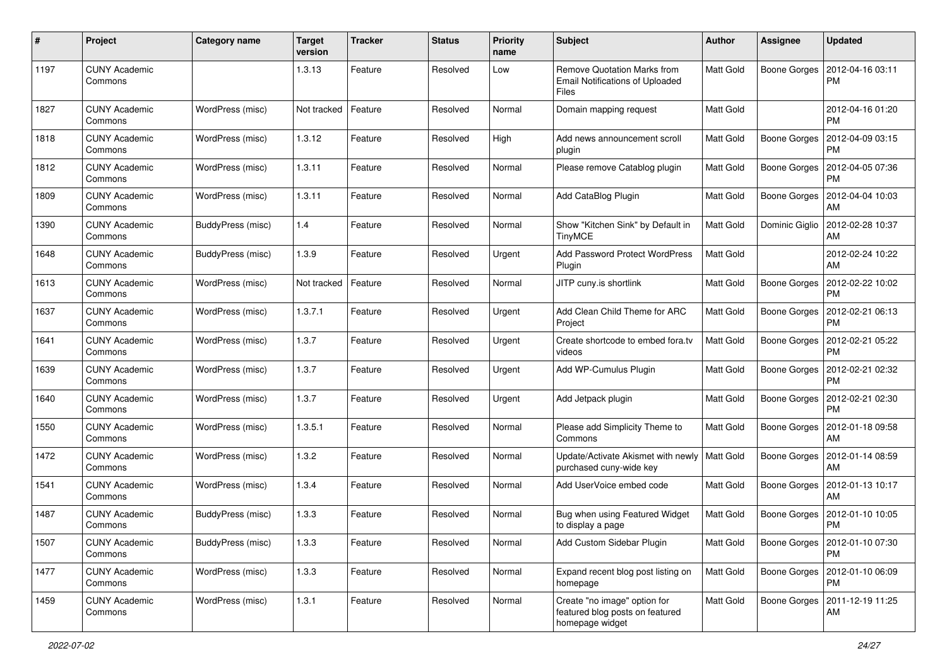| #    | Project                         | <b>Category name</b> | <b>Target</b><br>version | <b>Tracker</b> | <b>Status</b> | <b>Priority</b><br>name | <b>Subject</b>                                                                        | Author           | Assignee            | <b>Updated</b>                               |
|------|---------------------------------|----------------------|--------------------------|----------------|---------------|-------------------------|---------------------------------------------------------------------------------------|------------------|---------------------|----------------------------------------------|
| 1197 | <b>CUNY Academic</b><br>Commons |                      | 1.3.13                   | Feature        | Resolved      | Low                     | <b>Remove Quotation Marks from</b><br><b>Email Notifications of Uploaded</b><br>Files | <b>Matt Gold</b> | <b>Boone Gorges</b> | 2012-04-16 03:11<br><b>PM</b>                |
| 1827 | <b>CUNY Academic</b><br>Commons | WordPress (misc)     | Not tracked              | Feature        | Resolved      | Normal                  | Domain mapping request                                                                | Matt Gold        |                     | 2012-04-16 01:20<br><b>PM</b>                |
| 1818 | <b>CUNY Academic</b><br>Commons | WordPress (misc)     | 1.3.12                   | Feature        | Resolved      | High                    | Add news announcement scroll<br>plugin                                                | Matt Gold        | Boone Gorges        | 2012-04-09 03:15<br><b>PM</b>                |
| 1812 | <b>CUNY Academic</b><br>Commons | WordPress (misc)     | 1.3.11                   | Feature        | Resolved      | Normal                  | Please remove Catablog plugin                                                         | Matt Gold        | <b>Boone Gorges</b> | 2012-04-05 07:36<br><b>PM</b>                |
| 1809 | <b>CUNY Academic</b><br>Commons | WordPress (misc)     | 1.3.11                   | Feature        | Resolved      | Normal                  | Add CataBlog Plugin                                                                   | <b>Matt Gold</b> | <b>Boone Gorges</b> | 2012-04-04 10:03<br>AM                       |
| 1390 | <b>CUNY Academic</b><br>Commons | BuddyPress (misc)    | 1.4                      | Feature        | Resolved      | Normal                  | Show "Kitchen Sink" by Default in<br><b>TinyMCE</b>                                   | Matt Gold        | Dominic Giglio      | 2012-02-28 10:37<br>AM                       |
| 1648 | <b>CUNY Academic</b><br>Commons | BuddyPress (misc)    | 1.3.9                    | Feature        | Resolved      | Urgent                  | Add Password Protect WordPress<br>Plugin                                              | Matt Gold        |                     | 2012-02-24 10:22<br>AM                       |
| 1613 | <b>CUNY Academic</b><br>Commons | WordPress (misc)     | Not tracked              | Feature        | Resolved      | Normal                  | JITP cuny.is shortlink                                                                | <b>Matt Gold</b> | Boone Gorges        | 2012-02-22 10:02<br><b>PM</b>                |
| 1637 | <b>CUNY Academic</b><br>Commons | WordPress (misc)     | 1.3.7.1                  | Feature        | Resolved      | Urgent                  | Add Clean Child Theme for ARC<br>Project                                              | <b>Matt Gold</b> | Boone Gorges        | 2012-02-21 06:13<br><b>PM</b>                |
| 1641 | <b>CUNY Academic</b><br>Commons | WordPress (misc)     | 1.3.7                    | Feature        | Resolved      | Urgent                  | Create shortcode to embed fora.tv<br>videos                                           | Matt Gold        | Boone Gorges        | 2012-02-21 05:22<br><b>PM</b>                |
| 1639 | <b>CUNY Academic</b><br>Commons | WordPress (misc)     | 1.3.7                    | Feature        | Resolved      | Urgent                  | Add WP-Cumulus Plugin                                                                 | Matt Gold        | Boone Gorges        | 2012-02-21 02:32<br><b>PM</b>                |
| 1640 | <b>CUNY Academic</b><br>Commons | WordPress (misc)     | 1.3.7                    | Feature        | Resolved      | Urgent                  | Add Jetpack plugin                                                                    | Matt Gold        | <b>Boone Gorges</b> | 2012-02-21 02:30<br><b>PM</b>                |
| 1550 | <b>CUNY Academic</b><br>Commons | WordPress (misc)     | 1.3.5.1                  | Feature        | Resolved      | Normal                  | Please add Simplicity Theme to<br>Commons                                             | Matt Gold        | Boone Gorges        | 2012-01-18 09:58<br>AM                       |
| 1472 | <b>CUNY Academic</b><br>Commons | WordPress (misc)     | 1.3.2                    | Feature        | Resolved      | Normal                  | Update/Activate Akismet with newly<br>purchased cuny-wide key                         | Matt Gold        | Boone Gorges        | 2012-01-14 08:59<br>AM                       |
| 1541 | <b>CUNY Academic</b><br>Commons | WordPress (misc)     | 1.3.4                    | Feature        | Resolved      | Normal                  | Add UserVoice embed code                                                              | <b>Matt Gold</b> | Boone Gorges        | 2012-01-13 10:17<br>AM                       |
| 1487 | <b>CUNY Academic</b><br>Commons | BuddyPress (misc)    | 1.3.3                    | Feature        | Resolved      | Normal                  | Bug when using Featured Widget<br>to display a page                                   | <b>Matt Gold</b> | <b>Boone Gorges</b> | 2012-01-10 10:05<br><b>PM</b>                |
| 1507 | <b>CUNY Academic</b><br>Commons | BuddyPress (misc)    | 1.3.3                    | Feature        | Resolved      | Normal                  | Add Custom Sidebar Plugin                                                             | Matt Gold        |                     | Boone Gorges   2012-01-10 07:30<br><b>PM</b> |
| 1477 | <b>CUNY Academic</b><br>Commons | WordPress (misc)     | 1.3.3                    | Feature        | Resolved      | Normal                  | Expand recent blog post listing on<br>homepage                                        | Matt Gold        | Boone Gorges        | 2012-01-10 06:09<br><b>PM</b>                |
| 1459 | <b>CUNY Academic</b><br>Commons | WordPress (misc)     | 1.3.1                    | Feature        | Resolved      | Normal                  | Create "no image" option for<br>featured blog posts on featured<br>homepage widget    | Matt Gold        | Boone Gorges        | 2011-12-19 11:25<br>AM                       |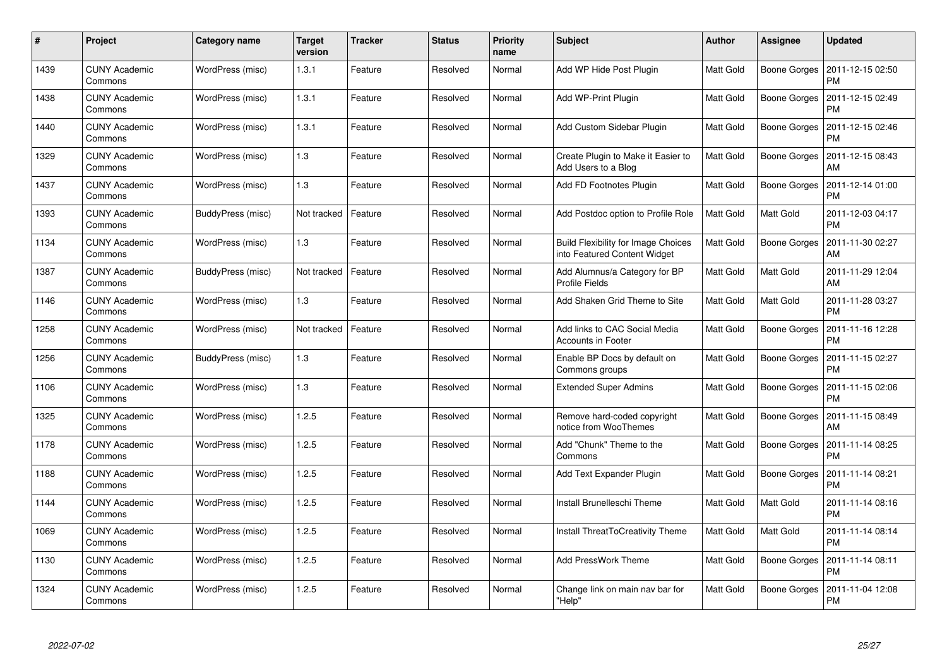| $\#$ | <b>Project</b>                  | Category name     | <b>Target</b><br>version | <b>Tracker</b> | <b>Status</b> | <b>Priority</b><br>name | <b>Subject</b>                                                             | <b>Author</b>    | Assignee            | <b>Updated</b>                |
|------|---------------------------------|-------------------|--------------------------|----------------|---------------|-------------------------|----------------------------------------------------------------------------|------------------|---------------------|-------------------------------|
| 1439 | <b>CUNY Academic</b><br>Commons | WordPress (misc)  | 1.3.1                    | Feature        | Resolved      | Normal                  | Add WP Hide Post Plugin                                                    | <b>Matt Gold</b> | <b>Boone Gorges</b> | 2011-12-15 02:50<br><b>PM</b> |
| 1438 | <b>CUNY Academic</b><br>Commons | WordPress (misc)  | 1.3.1                    | Feature        | Resolved      | Normal                  | Add WP-Print Plugin                                                        | Matt Gold        | Boone Gorges        | 2011-12-15 02:49<br><b>PM</b> |
| 1440 | <b>CUNY Academic</b><br>Commons | WordPress (misc)  | 1.3.1                    | Feature        | Resolved      | Normal                  | Add Custom Sidebar Plugin                                                  | <b>Matt Gold</b> | <b>Boone Gorges</b> | 2011-12-15 02:46<br><b>PM</b> |
| 1329 | <b>CUNY Academic</b><br>Commons | WordPress (misc)  | 1.3                      | Feature        | Resolved      | Normal                  | Create Plugin to Make it Easier to<br>Add Users to a Blog                  | Matt Gold        | Boone Gorges        | 2011-12-15 08:43<br>AM        |
| 1437 | <b>CUNY Academic</b><br>Commons | WordPress (misc)  | 1.3                      | Feature        | Resolved      | Normal                  | Add FD Footnotes Plugin                                                    | Matt Gold        | Boone Gorges        | 2011-12-14 01:00<br><b>PM</b> |
| 1393 | <b>CUNY Academic</b><br>Commons | BuddyPress (misc) | Not tracked              | Feature        | Resolved      | Normal                  | Add Postdoc option to Profile Role                                         | Matt Gold        | Matt Gold           | 2011-12-03 04:17<br><b>PM</b> |
| 1134 | <b>CUNY Academic</b><br>Commons | WordPress (misc)  | 1.3                      | Feature        | Resolved      | Normal                  | <b>Build Flexibility for Image Choices</b><br>into Featured Content Widget | <b>Matt Gold</b> | Boone Gorges        | 2011-11-30 02:27<br>AM        |
| 1387 | <b>CUNY Academic</b><br>Commons | BuddyPress (misc) | Not tracked              | Feature        | Resolved      | Normal                  | Add Alumnus/a Category for BP<br><b>Profile Fields</b>                     | Matt Gold        | Matt Gold           | 2011-11-29 12:04<br>AM        |
| 1146 | <b>CUNY Academic</b><br>Commons | WordPress (misc)  | 1.3                      | Feature        | Resolved      | Normal                  | Add Shaken Grid Theme to Site                                              | Matt Gold        | Matt Gold           | 2011-11-28 03:27<br><b>PM</b> |
| 1258 | <b>CUNY Academic</b><br>Commons | WordPress (misc)  | Not tracked              | Feature        | Resolved      | Normal                  | Add links to CAC Social Media<br><b>Accounts in Footer</b>                 | Matt Gold        | Boone Gorges        | 2011-11-16 12:28<br><b>PM</b> |
| 1256 | <b>CUNY Academic</b><br>Commons | BuddyPress (misc) | 1.3                      | Feature        | Resolved      | Normal                  | Enable BP Docs by default on<br>Commons groups                             | Matt Gold        | Boone Gorges        | 2011-11-15 02:27<br><b>PM</b> |
| 1106 | <b>CUNY Academic</b><br>Commons | WordPress (misc)  | 1.3                      | Feature        | Resolved      | Normal                  | <b>Extended Super Admins</b>                                               | Matt Gold        | Boone Gorges        | 2011-11-15 02:06<br><b>PM</b> |
| 1325 | <b>CUNY Academic</b><br>Commons | WordPress (misc)  | 1.2.5                    | Feature        | Resolved      | Normal                  | Remove hard-coded copyright<br>notice from WooThemes                       | Matt Gold        | Boone Gorges        | 2011-11-15 08:49<br>AM        |
| 1178 | <b>CUNY Academic</b><br>Commons | WordPress (misc)  | 1.2.5                    | Feature        | Resolved      | Normal                  | Add "Chunk" Theme to the<br>Commons                                        | Matt Gold        | Boone Gorges        | 2011-11-14 08:25<br><b>PM</b> |
| 1188 | <b>CUNY Academic</b><br>Commons | WordPress (misc)  | 1.2.5                    | Feature        | Resolved      | Normal                  | Add Text Expander Plugin                                                   | Matt Gold        | Boone Gorges        | 2011-11-14 08:21<br><b>PM</b> |
| 1144 | <b>CUNY Academic</b><br>Commons | WordPress (misc)  | 1.2.5                    | Feature        | Resolved      | Normal                  | Install Brunelleschi Theme                                                 | Matt Gold        | Matt Gold           | 2011-11-14 08:16<br><b>PM</b> |
| 1069 | <b>CUNY Academic</b><br>Commons | WordPress (misc)  | 1.2.5                    | Feature        | Resolved      | Normal                  | Install ThreatToCreativity Theme                                           | Matt Gold        | Matt Gold           | 2011-11-14 08:14<br><b>PM</b> |
| 1130 | <b>CUNY Academic</b><br>Commons | WordPress (misc)  | 1.2.5                    | Feature        | Resolved      | Normal                  | <b>Add PressWork Theme</b>                                                 | Matt Gold        | Boone Gorges        | 2011-11-14 08:11<br><b>PM</b> |
| 1324 | <b>CUNY Academic</b><br>Commons | WordPress (misc)  | 1.2.5                    | Feature        | Resolved      | Normal                  | Change link on main nav bar for<br>"Help"                                  | Matt Gold        | Boone Gorges        | 2011-11-04 12:08<br><b>PM</b> |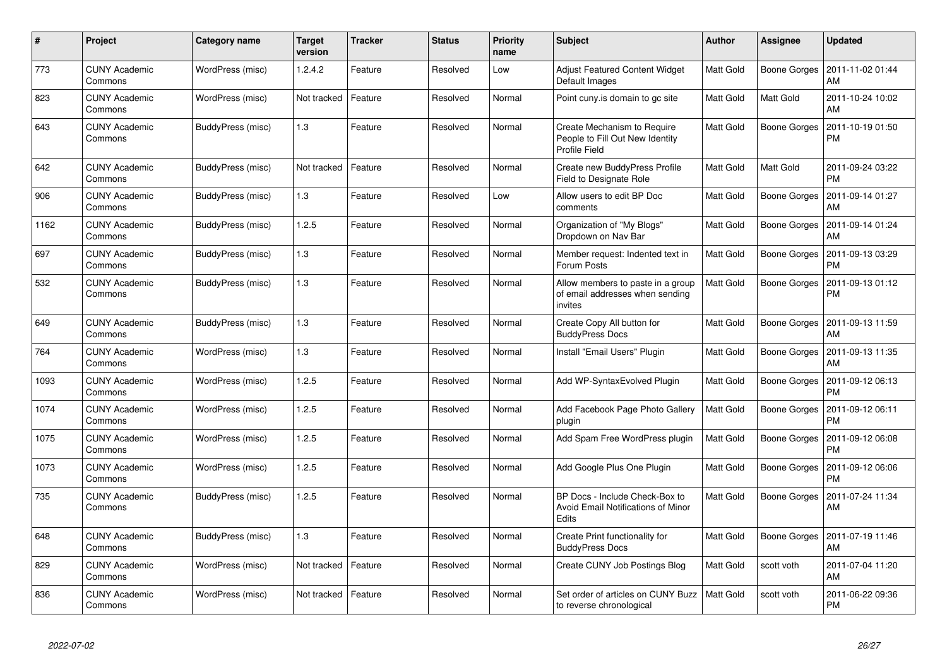| $\#$ | Project                         | Category name     | <b>Target</b><br>version | <b>Tracker</b> | <b>Status</b> | <b>Priority</b><br>name | <b>Subject</b>                                                                         | <b>Author</b>    | Assignee            | <b>Updated</b>                        |
|------|---------------------------------|-------------------|--------------------------|----------------|---------------|-------------------------|----------------------------------------------------------------------------------------|------------------|---------------------|---------------------------------------|
| 773  | <b>CUNY Academic</b><br>Commons | WordPress (misc)  | 1.2.4.2                  | Feature        | Resolved      | Low                     | <b>Adjust Featured Content Widget</b><br>Default Images                                | <b>Matt Gold</b> | Boone Gorges        | 2011-11-02 01:44<br>AM                |
| 823  | <b>CUNY Academic</b><br>Commons | WordPress (misc)  | Not tracked              | Feature        | Resolved      | Normal                  | Point cuny is domain to go site                                                        | Matt Gold        | Matt Gold           | 2011-10-24 10:02<br>AM                |
| 643  | <b>CUNY Academic</b><br>Commons | BuddyPress (misc) | 1.3                      | Feature        | Resolved      | Normal                  | Create Mechanism to Require<br>People to Fill Out New Identity<br><b>Profile Field</b> | Matt Gold        | Boone Gorges        | 2011-10-19 01:50<br><b>PM</b>         |
| 642  | <b>CUNY Academic</b><br>Commons | BuddyPress (misc) | Not tracked              | Feature        | Resolved      | Normal                  | Create new BuddyPress Profile<br>Field to Designate Role                               | Matt Gold        | Matt Gold           | 2011-09-24 03:22<br><b>PM</b>         |
| 906  | <b>CUNY Academic</b><br>Commons | BuddyPress (misc) | 1.3                      | Feature        | Resolved      | Low                     | Allow users to edit BP Doc<br>comments                                                 | Matt Gold        | Boone Gorges        | 2011-09-14 01:27<br>AM                |
| 1162 | <b>CUNY Academic</b><br>Commons | BuddyPress (misc) | 1.2.5                    | Feature        | Resolved      | Normal                  | Organization of "My Blogs"<br>Dropdown on Nav Bar                                      | Matt Gold        | Boone Gorges        | 2011-09-14 01:24<br>AM                |
| 697  | <b>CUNY Academic</b><br>Commons | BuddyPress (misc) | 1.3                      | Feature        | Resolved      | Normal                  | Member request: Indented text in<br>Forum Posts                                        | <b>Matt Gold</b> | Boone Gorges        | 2011-09-13 03:29<br><b>PM</b>         |
| 532  | <b>CUNY Academic</b><br>Commons | BuddyPress (misc) | 1.3                      | Feature        | Resolved      | Normal                  | Allow members to paste in a group<br>of email addresses when sending<br>invites        | <b>Matt Gold</b> | <b>Boone Gorges</b> | 2011-09-13 01:12<br><b>PM</b>         |
| 649  | <b>CUNY Academic</b><br>Commons | BuddyPress (misc) | 1.3                      | Feature        | Resolved      | Normal                  | Create Copy All button for<br><b>BuddyPress Docs</b>                                   | Matt Gold        | Boone Gorges        | 2011-09-13 11:59<br>AM                |
| 764  | <b>CUNY Academic</b><br>Commons | WordPress (misc)  | 1.3                      | Feature        | Resolved      | Normal                  | Install "Email Users" Plugin                                                           | Matt Gold        |                     | Boone Gorges   2011-09-13 11:35<br>AM |
| 1093 | <b>CUNY Academic</b><br>Commons | WordPress (misc)  | 1.2.5                    | Feature        | Resolved      | Normal                  | Add WP-SyntaxEvolved Plugin                                                            | Matt Gold        | Boone Gorges        | 2011-09-12 06:13<br><b>PM</b>         |
| 1074 | <b>CUNY Academic</b><br>Commons | WordPress (misc)  | 1.2.5                    | Feature        | Resolved      | Normal                  | Add Facebook Page Photo Gallery<br>plugin                                              | Matt Gold        | Boone Gorges        | 2011-09-12 06:11<br><b>PM</b>         |
| 1075 | <b>CUNY Academic</b><br>Commons | WordPress (misc)  | 1.2.5                    | Feature        | Resolved      | Normal                  | Add Spam Free WordPress plugin                                                         | Matt Gold        | Boone Gorges        | 2011-09-12 06:08<br><b>PM</b>         |
| 1073 | <b>CUNY Academic</b><br>Commons | WordPress (misc)  | 1.2.5                    | Feature        | Resolved      | Normal                  | Add Google Plus One Plugin                                                             | Matt Gold        | Boone Gorges        | 2011-09-12 06:06<br><b>PM</b>         |
| 735  | <b>CUNY Academic</b><br>Commons | BuddyPress (misc) | 1.2.5                    | Feature        | Resolved      | Normal                  | BP Docs - Include Check-Box to<br>Avoid Email Notifications of Minor<br><b>Edits</b>   | Matt Gold        | Boone Gorges        | 2011-07-24 11:34<br>AM                |
| 648  | <b>CUNY Academic</b><br>Commons | BuddyPress (misc) | 1.3                      | Feature        | Resolved      | Normal                  | Create Print functionality for<br><b>BuddyPress Docs</b>                               | Matt Gold        | Boone Gorges        | 2011-07-19 11:46<br>AM                |
| 829  | <b>CUNY Academic</b><br>Commons | WordPress (misc)  | Not tracked              | Feature        | Resolved      | Normal                  | Create CUNY Job Postings Blog                                                          | Matt Gold        | scott voth          | 2011-07-04 11:20<br>AM                |
| 836  | <b>CUNY Academic</b><br>Commons | WordPress (misc)  | Not tracked              | Feature        | Resolved      | Normal                  | Set order of articles on CUNY Buzz<br>to reverse chronological                         | Matt Gold        | scott voth          | 2011-06-22 09:36<br><b>PM</b>         |